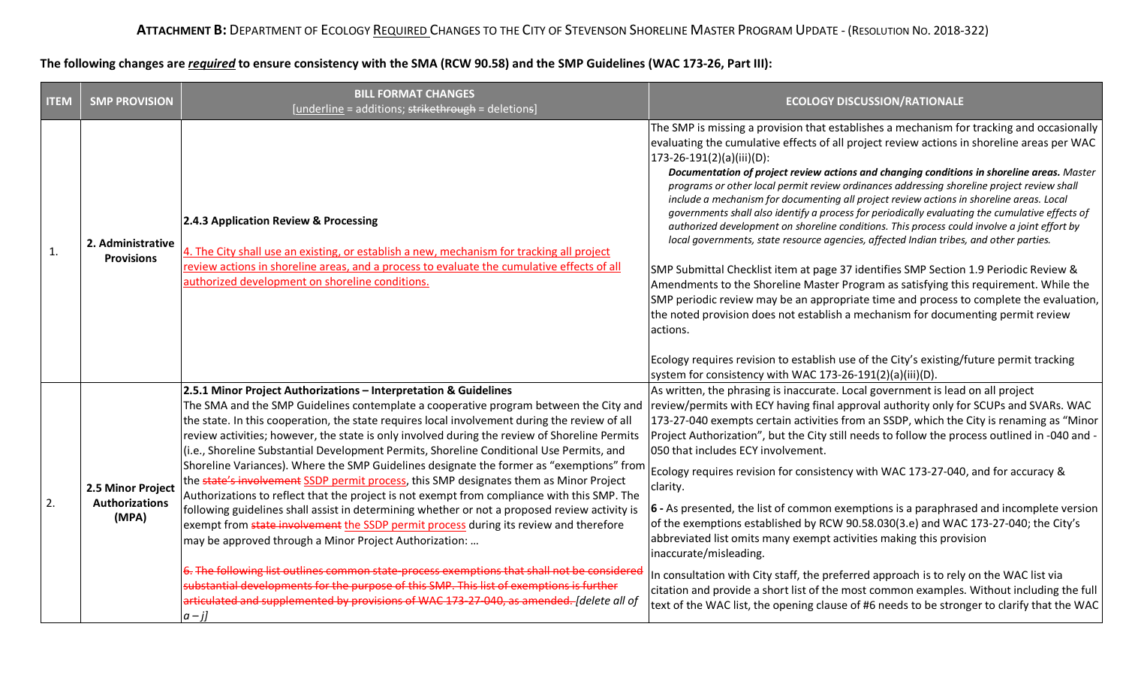## **The following changes are** *required* **to ensure consistency with the SMA (RCW 90.58) and the SMP Guidelines (WAC 173-26, Part III):**

| <b>ITEM</b> | <b>SMP PROVISION</b>                                | <b>BILL FORMAT CHANGES</b><br>[underline = additions; strikethrough = deletions]                                                                                                                                                                                                                                                                                                                                                                                                                                                                                                                                                                                                                                                                                                                                                                                                                                                                                                                                                                                                                                                                                                                                                                                                                   | <b>ECOLOGY DISCUSSION/RATIONALE</b>                                                                                                                                                                                                                                                                                                                                                                                                                                                                                                                                                                                                                                                                                                                                                                                                                                                                                                                                                                                                                                                                                                                                                                                                                                                                                                          |
|-------------|-----------------------------------------------------|----------------------------------------------------------------------------------------------------------------------------------------------------------------------------------------------------------------------------------------------------------------------------------------------------------------------------------------------------------------------------------------------------------------------------------------------------------------------------------------------------------------------------------------------------------------------------------------------------------------------------------------------------------------------------------------------------------------------------------------------------------------------------------------------------------------------------------------------------------------------------------------------------------------------------------------------------------------------------------------------------------------------------------------------------------------------------------------------------------------------------------------------------------------------------------------------------------------------------------------------------------------------------------------------------|----------------------------------------------------------------------------------------------------------------------------------------------------------------------------------------------------------------------------------------------------------------------------------------------------------------------------------------------------------------------------------------------------------------------------------------------------------------------------------------------------------------------------------------------------------------------------------------------------------------------------------------------------------------------------------------------------------------------------------------------------------------------------------------------------------------------------------------------------------------------------------------------------------------------------------------------------------------------------------------------------------------------------------------------------------------------------------------------------------------------------------------------------------------------------------------------------------------------------------------------------------------------------------------------------------------------------------------------|
| 1.          | 2. Administrative<br><b>Provisions</b>              | 2.4.3 Application Review & Processing<br>4. The City shall use an existing, or establish a new, mechanism for tracking all project<br>review actions in shoreline areas, and a process to evaluate the cumulative effects of all<br>authorized development on shoreline conditions.                                                                                                                                                                                                                                                                                                                                                                                                                                                                                                                                                                                                                                                                                                                                                                                                                                                                                                                                                                                                                | The SMP is missing a provision that establishes a mechanism for tracking and occasionally<br>evaluating the cumulative effects of all project review actions in shoreline areas per WAC<br>173-26-191(2)(a)(iii)(D):<br>Documentation of project review actions and changing conditions in shoreline areas. Master<br>programs or other local permit review ordinances addressing shoreline project review shall<br>include a mechanism for documenting all project review actions in shoreline areas. Local<br>governments shall also identify a process for periodically evaluating the cumulative effects of<br>authorized development on shoreline conditions. This process could involve a joint effort by<br>local governments, state resource agencies, affected Indian tribes, and other parties.<br>SMP Submittal Checklist item at page 37 identifies SMP Section 1.9 Periodic Review &<br>Amendments to the Shoreline Master Program as satisfying this requirement. While the<br>SMP periodic review may be an appropriate time and process to complete the evaluation,<br>the noted provision does not establish a mechanism for documenting permit review<br>actions.<br>Ecology requires revision to establish use of the City's existing/future permit tracking<br>system for consistency with WAC 173-26-191(2)(a)(iii)(D). |
| 2.          | 2.5 Minor Project<br><b>Authorizations</b><br>(MPA) | 2.5.1 Minor Project Authorizations - Interpretation & Guidelines<br>The SMA and the SMP Guidelines contemplate a cooperative program between the City and<br>the state. In this cooperation, the state requires local involvement during the review of all<br>review activities; however, the state is only involved during the review of Shoreline Permits<br>(i.e., Shoreline Substantial Development Permits, Shoreline Conditional Use Permits, and<br>Shoreline Variances). Where the SMP Guidelines designate the former as "exemptions" from<br>the state's involvement SSDP permit process, this SMP designates them as Minor Project<br>Authorizations to reflect that the project is not exempt from compliance with this SMP. The<br>following guidelines shall assist in determining whether or not a proposed review activity is<br>exempt from state involvement the SSDP permit process during its review and therefore<br>may be approved through a Minor Project Authorization:<br>6. The following list outlines common state-process exemptions that shall not be considered<br>substantial developments for the purpose of this SMP. This list of exemptions is further<br>articulated and supplemented by provisions of WAC 173-27-040, as amended. [delete all of<br>$ a-j $ | As written, the phrasing is inaccurate. Local government is lead on all project<br> review/permits with ECY having final approval authority only for SCUPs and SVARs. WAC<br>173-27-040 exempts certain activities from an SSDP, which the City is renaming as "Minor<br>Project Authorization", but the City still needs to follow the process outlined in -040 and -<br>050 that includes ECY involvement.<br>Ecology requires revision for consistency with WAC 173-27-040, and for accuracy &<br>clarity.<br>$ 6 - As$ presented, the list of common exemptions is a paraphrased and incomplete version<br>of the exemptions established by RCW 90.58.030(3.e) and WAC 173-27-040; the City's<br>abbreviated list omits many exempt activities making this provision<br>inaccurate/misleading.<br>In consultation with City staff, the preferred approach is to rely on the WAC list via<br>citation and provide a short list of the most common examples. Without including the full<br>text of the WAC list, the opening clause of #6 needs to be stronger to clarify that the WAC                                                                                                                                                                                                                                                     |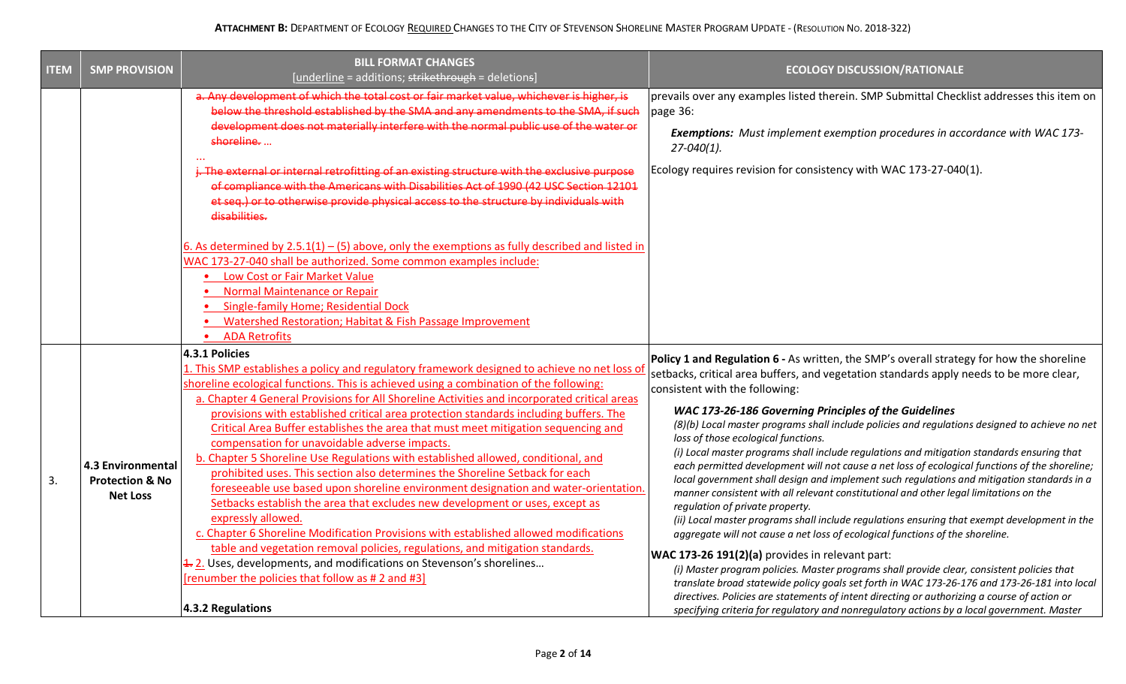| <b>ITEM</b> | <b>SMP PROVISION</b>                                                                              | <b>BILL FORMAT CHANGES</b><br>[underline = additions; strikethrough = deletions]                                                                                                                                                                                                                                                                                                                                                                                                                                                                                                                                                                                                                                                                                                                                                                                                                                            | <b>ECOLOGY DISCUSSION/RATIONALE</b>                                                                                                                                                                                                                                                                                                                                                                                                                                                                                                                                                                                                                                                                                                                                                                                                                                                                                                               |
|-------------|---------------------------------------------------------------------------------------------------|-----------------------------------------------------------------------------------------------------------------------------------------------------------------------------------------------------------------------------------------------------------------------------------------------------------------------------------------------------------------------------------------------------------------------------------------------------------------------------------------------------------------------------------------------------------------------------------------------------------------------------------------------------------------------------------------------------------------------------------------------------------------------------------------------------------------------------------------------------------------------------------------------------------------------------|---------------------------------------------------------------------------------------------------------------------------------------------------------------------------------------------------------------------------------------------------------------------------------------------------------------------------------------------------------------------------------------------------------------------------------------------------------------------------------------------------------------------------------------------------------------------------------------------------------------------------------------------------------------------------------------------------------------------------------------------------------------------------------------------------------------------------------------------------------------------------------------------------------------------------------------------------|
|             |                                                                                                   | a. Any development of which the total cost or fair market value, whichever is higher, is                                                                                                                                                                                                                                                                                                                                                                                                                                                                                                                                                                                                                                                                                                                                                                                                                                    | prevails over any examples listed therein. SMP Submittal Checklist addresses this item on                                                                                                                                                                                                                                                                                                                                                                                                                                                                                                                                                                                                                                                                                                                                                                                                                                                         |
|             |                                                                                                   | below the threshold established by the SMA and any amendments to the SMA, if such                                                                                                                                                                                                                                                                                                                                                                                                                                                                                                                                                                                                                                                                                                                                                                                                                                           | page 36:                                                                                                                                                                                                                                                                                                                                                                                                                                                                                                                                                                                                                                                                                                                                                                                                                                                                                                                                          |
|             | development does not materially interfere with the normal public use of the water or<br>shoreline |                                                                                                                                                                                                                                                                                                                                                                                                                                                                                                                                                                                                                                                                                                                                                                                                                                                                                                                             | Exemptions: Must implement exemption procedures in accordance with WAC 173-<br>$27 - 040(1)$ .                                                                                                                                                                                                                                                                                                                                                                                                                                                                                                                                                                                                                                                                                                                                                                                                                                                    |
|             |                                                                                                   | j. The external or internal retrofitting of an existing structure with the exclusive purpose<br>of compliance with the Americans with Disabilities Act of 1990 (42 USC Section 12101<br>et seq.) or to otherwise provide physical access to the structure by individuals with<br>disabilities.                                                                                                                                                                                                                                                                                                                                                                                                                                                                                                                                                                                                                              | Ecology requires revision for consistency with WAC 173-27-040(1).                                                                                                                                                                                                                                                                                                                                                                                                                                                                                                                                                                                                                                                                                                                                                                                                                                                                                 |
|             |                                                                                                   | 6. As determined by $2.5.1(1) - (5)$ above, only the exemptions as fully described and listed in<br>WAC 173-27-040 shall be authorized. Some common examples include:<br>• Low Cost or Fair Market Value                                                                                                                                                                                                                                                                                                                                                                                                                                                                                                                                                                                                                                                                                                                    |                                                                                                                                                                                                                                                                                                                                                                                                                                                                                                                                                                                                                                                                                                                                                                                                                                                                                                                                                   |
|             |                                                                                                   | Normal Maintenance or Repair<br><b>Single-family Home; Residential Dock</b><br><b>Watershed Restoration; Habitat &amp; Fish Passage Improvement</b><br><b>ADA Retrofits</b>                                                                                                                                                                                                                                                                                                                                                                                                                                                                                                                                                                                                                                                                                                                                                 |                                                                                                                                                                                                                                                                                                                                                                                                                                                                                                                                                                                                                                                                                                                                                                                                                                                                                                                                                   |
|             |                                                                                                   | 4.3.1 Policies<br>1. This SMP establishes a policy and regulatory framework designed to achieve no net loss o                                                                                                                                                                                                                                                                                                                                                                                                                                                                                                                                                                                                                                                                                                                                                                                                               | Policy 1 and Regulation 6 - As written, the SMP's overall strategy for how the shoreline<br>setbacks, critical area buffers, and vegetation standards apply needs to be more clear,<br>consistent with the following:<br>WAC 173-26-186 Governing Principles of the Guidelines<br>(8)(b) Local master programs shall include policies and regulations designed to achieve no net<br>loss of those ecological functions.<br>(i) Local master programs shall include regulations and mitigation standards ensuring that<br>each permitted development will not cause a net loss of ecological functions of the shoreline;<br>local government shall design and implement such regulations and mitigation standards in a<br>manner consistent with all relevant constitutional and other legal limitations on the<br>regulation of private property.<br>(ii) Local master programs shall include regulations ensuring that exempt development in the |
|             |                                                                                                   | shoreline ecological functions. This is achieved using a combination of the following:<br>a. Chapter 4 General Provisions for All Shoreline Activities and incorporated critical areas                                                                                                                                                                                                                                                                                                                                                                                                                                                                                                                                                                                                                                                                                                                                      |                                                                                                                                                                                                                                                                                                                                                                                                                                                                                                                                                                                                                                                                                                                                                                                                                                                                                                                                                   |
|             | <b>4.3 Environmental</b>                                                                          | provisions with established critical area protection standards including buffers. The<br>Critical Area Buffer establishes the area that must meet mitigation sequencing and<br>compensation for unavoidable adverse impacts.<br>b. Chapter 5 Shoreline Use Regulations with established allowed, conditional, and<br>prohibited uses. This section also determines the Shoreline Setback for each<br>foreseeable use based upon shoreline environment designation and water-orientation.<br>Setbacks establish the area that excludes new development or uses, except as<br>expressly allowed.<br>c. Chapter 6 Shoreline Modification Provisions with established allowed modifications<br>table and vegetation removal policies, regulations, and mitigation standards.<br>1. 2. Uses, developments, and modifications on Stevenson's shorelines<br>[renumber the policies that follow as # 2 and #3]<br>4.3.2 Regulations |                                                                                                                                                                                                                                                                                                                                                                                                                                                                                                                                                                                                                                                                                                                                                                                                                                                                                                                                                   |
| 3.          | <b>Protection &amp; No</b><br><b>Net Loss</b>                                                     |                                                                                                                                                                                                                                                                                                                                                                                                                                                                                                                                                                                                                                                                                                                                                                                                                                                                                                                             |                                                                                                                                                                                                                                                                                                                                                                                                                                                                                                                                                                                                                                                                                                                                                                                                                                                                                                                                                   |
|             |                                                                                                   |                                                                                                                                                                                                                                                                                                                                                                                                                                                                                                                                                                                                                                                                                                                                                                                                                                                                                                                             | aggregate will not cause a net loss of ecological functions of the shoreline.<br>WAC 173-26 191(2)(a) provides in relevant part:<br>(i) Master program policies. Master programs shall provide clear, consistent policies that<br>translate broad statewide policy goals set forth in WAC 173-26-176 and 173-26-181 into local<br>directives. Policies are statements of intent directing or authorizing a course of action or                                                                                                                                                                                                                                                                                                                                                                                                                                                                                                                    |
|             |                                                                                                   |                                                                                                                                                                                                                                                                                                                                                                                                                                                                                                                                                                                                                                                                                                                                                                                                                                                                                                                             | specifying criteria for regulatory and nonregulatory actions by a local government. Master                                                                                                                                                                                                                                                                                                                                                                                                                                                                                                                                                                                                                                                                                                                                                                                                                                                        |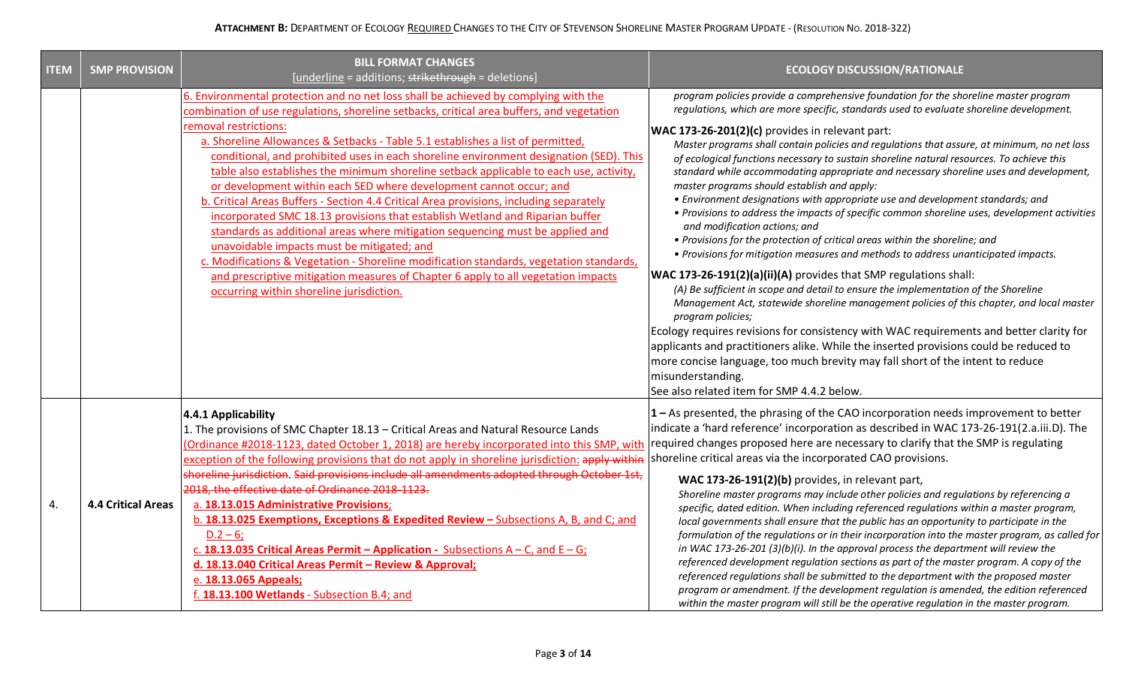| <b>ITEM</b> | <b>SMP PROVISION</b>      | <b>BILL FORMAT CHANGES</b><br>[underline = additions; strikethrough = deletions]                                                                                                                                                                                                                                                                                                                                                                                                                                                                                                                                                                                                                                                                                                                                                                                                                                                                                                                                                                                                            | <b>ECOLOGY DISCUSSION/RATIONALE</b>                                                                                                                                                                                                                                                                                                                                                                                                                                                                                                                                                                                                                                                                                                                                                                                                                                                                                                                                                                                                                                                                                                                                                                                                                                                                                                                                                                                                                                                                                                                                                                  |
|-------------|---------------------------|---------------------------------------------------------------------------------------------------------------------------------------------------------------------------------------------------------------------------------------------------------------------------------------------------------------------------------------------------------------------------------------------------------------------------------------------------------------------------------------------------------------------------------------------------------------------------------------------------------------------------------------------------------------------------------------------------------------------------------------------------------------------------------------------------------------------------------------------------------------------------------------------------------------------------------------------------------------------------------------------------------------------------------------------------------------------------------------------|------------------------------------------------------------------------------------------------------------------------------------------------------------------------------------------------------------------------------------------------------------------------------------------------------------------------------------------------------------------------------------------------------------------------------------------------------------------------------------------------------------------------------------------------------------------------------------------------------------------------------------------------------------------------------------------------------------------------------------------------------------------------------------------------------------------------------------------------------------------------------------------------------------------------------------------------------------------------------------------------------------------------------------------------------------------------------------------------------------------------------------------------------------------------------------------------------------------------------------------------------------------------------------------------------------------------------------------------------------------------------------------------------------------------------------------------------------------------------------------------------------------------------------------------------------------------------------------------------|
|             |                           | 6. Environmental protection and no net loss shall be achieved by complying with the<br>combination of use regulations, shoreline setbacks, critical area buffers, and vegetation<br>removal restrictions:<br>a. Shoreline Allowances & Setbacks - Table 5.1 establishes a list of permitted,<br>conditional, and prohibited uses in each shoreline environment designation (SED). This<br>table also establishes the minimum shoreline setback applicable to each use, activity,<br>or development within each SED where development cannot occur; and<br>b. Critical Areas Buffers - Section 4.4 Critical Area provisions, including separately<br>incorporated SMC 18.13 provisions that establish Wetland and Riparian buffer<br>standards as additional areas where mitigation sequencing must be applied and<br>unavoidable impacts must be mitigated; and<br>c. Modifications & Vegetation - Shoreline modification standards, vegetation standards,<br>and prescriptive mitigation measures of Chapter 6 apply to all vegetation impacts<br>occurring within shoreline jurisdiction. | program policies provide a comprehensive foundation for the shoreline master program<br>regulations, which are more specific, standards used to evaluate shoreline development.<br><b>WAC 173-26-201(2)(c)</b> provides in relevant part:<br>Master programs shall contain policies and regulations that assure, at minimum, no net loss<br>of ecological functions necessary to sustain shoreline natural resources. To achieve this<br>standard while accommodating appropriate and necessary shoreline uses and development,<br>master programs should establish and apply:<br>• Environment designations with appropriate use and development standards; and<br>• Provisions to address the impacts of specific common shoreline uses, development activities<br>and modification actions; and<br>• Provisions for the protection of critical areas within the shoreline; and<br>. Provisions for mitigation measures and methods to address unanticipated impacts.<br><b>WAC 173-26-191(2)(a)(ii)(A)</b> provides that SMP regulations shall:<br>(A) Be sufficient in scope and detail to ensure the implementation of the Shoreline<br>Management Act, statewide shoreline management policies of this chapter, and local master<br>program policies;<br>Ecology requires revisions for consistency with WAC requirements and better clarity for<br>applicants and practitioners alike. While the inserted provisions could be reduced to<br>more concise language, too much brevity may fall short of the intent to reduce<br>misunderstanding.<br>See also related item for SMP 4.4.2 below. |
| 4.          | <b>4.4 Critical Areas</b> | 4.4.1 Applicability<br>1. The provisions of SMC Chapter 18.13 - Critical Areas and Natural Resource Lands<br>(Ordinance #2018-1123, dated October 1, 2018) are hereby incorporated into this SMP, with<br>exception of the following provisions that do not apply in shoreline jurisdiction: apply within Shoreline critical areas via the incorporated CAO provisions.<br>shoreline jurisdiction. Said provisions include all amendments adopted through October 1st,<br>2018, the effective date of Ordinance 2018-1123.<br>a. 18.13.015 Administrative Provisions;<br>b. 18.13.025 Exemptions, Exceptions & Expedited Review - Subsections A, B, and C; and<br>$D.2 - 6;$<br>c. 18.13.035 Critical Areas Permit - Application - Subsections $A - C$ , and $E - G$ ;<br>d. 18.13.040 Critical Areas Permit - Review & Approval;<br>e. 18.13.065 Appeals;<br>f. 18.13.100 Wetlands - Subsection B.4; and                                                                                                                                                                                   | 1 - As presented, the phrasing of the CAO incorporation needs improvement to better<br>indicate a 'hard reference' incorporation as described in WAC 173-26-191(2.a.iii.D). The<br>required changes proposed here are necessary to clarify that the SMP is regulating<br>WAC 173-26-191(2)(b) provides, in relevant part,<br>Shoreline master programs may include other policies and regulations by referencing a<br>specific, dated edition. When including referenced regulations within a master program,<br>local governments shall ensure that the public has an opportunity to participate in the<br>formulation of the regulations or in their incorporation into the master program, as called for<br>in WAC 173-26-201 (3)(b)(i). In the approval process the department will review the<br>referenced development regulation sections as part of the master program. A copy of the<br>referenced regulations shall be submitted to the department with the proposed master<br>program or amendment. If the development regulation is amended, the edition referenced<br>within the master program will still be the operative regulation in the master program.                                                                                                                                                                                                                                                                                                                                                                                                                           |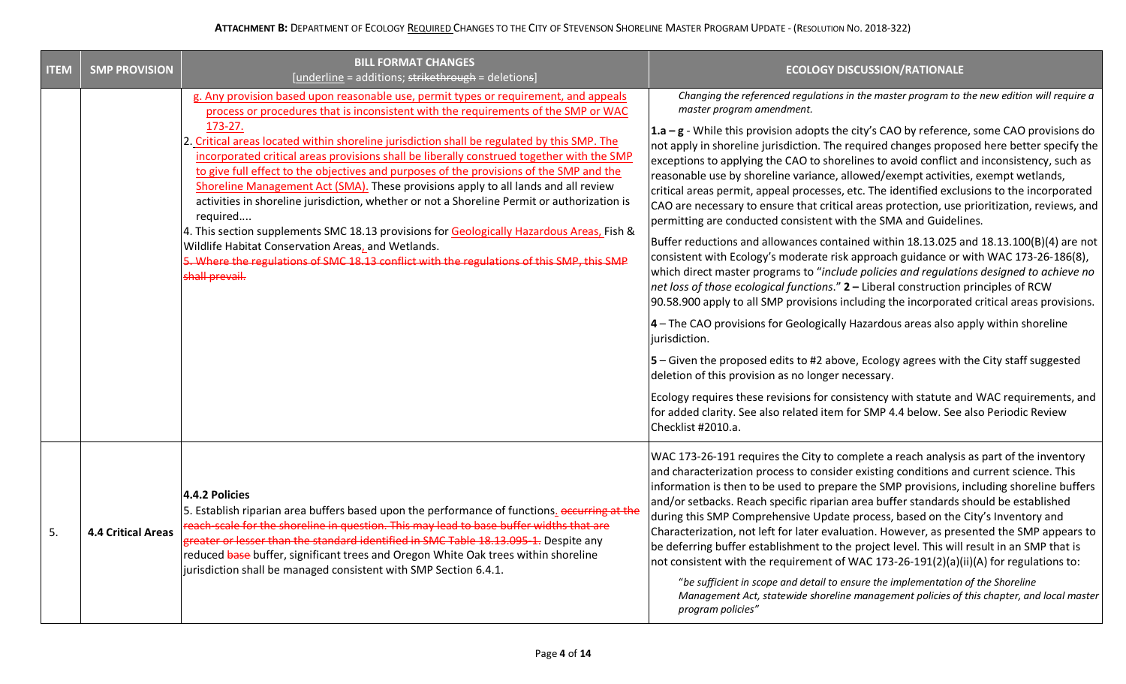| <b>ITEM</b> | <b>SMP PROVISION</b>      | <b>BILL FORMAT CHANGES</b><br>[underline = additions; strikethrough = deletions]                                                                                                                                                                                                                                                                                                                                                                                                                                                                                                                                                                                                                                                                                                                                                                                                                                                                | <b>ECOLOGY DISCUSSION/RATIONALE</b>                                                                                                                                                                                                                                                                                                                                                                                                                                                                                                                                                                                                                                                                                                                                                                                                                                                                                                                                                                                                                                                                                                                                                                                                                                                                                                                                                                                                                                                                                                                                                                                                                                                            |
|-------------|---------------------------|-------------------------------------------------------------------------------------------------------------------------------------------------------------------------------------------------------------------------------------------------------------------------------------------------------------------------------------------------------------------------------------------------------------------------------------------------------------------------------------------------------------------------------------------------------------------------------------------------------------------------------------------------------------------------------------------------------------------------------------------------------------------------------------------------------------------------------------------------------------------------------------------------------------------------------------------------|------------------------------------------------------------------------------------------------------------------------------------------------------------------------------------------------------------------------------------------------------------------------------------------------------------------------------------------------------------------------------------------------------------------------------------------------------------------------------------------------------------------------------------------------------------------------------------------------------------------------------------------------------------------------------------------------------------------------------------------------------------------------------------------------------------------------------------------------------------------------------------------------------------------------------------------------------------------------------------------------------------------------------------------------------------------------------------------------------------------------------------------------------------------------------------------------------------------------------------------------------------------------------------------------------------------------------------------------------------------------------------------------------------------------------------------------------------------------------------------------------------------------------------------------------------------------------------------------------------------------------------------------------------------------------------------------|
|             |                           | g. Any provision based upon reasonable use, permit types or requirement, and appeals<br>process or procedures that is inconsistent with the requirements of the SMP or WAC<br>173-27.<br>2. Critical areas located within shoreline jurisdiction shall be regulated by this SMP. The<br>incorporated critical areas provisions shall be liberally construed together with the SMP<br>to give full effect to the objectives and purposes of the provisions of the SMP and the<br>Shoreline Management Act (SMA). These provisions apply to all lands and all review<br>activities in shoreline jurisdiction, whether or not a Shoreline Permit or authorization is<br>required<br>4. This section supplements SMC 18.13 provisions for Geologically Hazardous Areas, Fish &<br>Wildlife Habitat Conservation Areas, and Wetlands.<br>5. Where the regulations of SMC 18.13 conflict with the regulations of this SMP, this SMP<br>shall prevail. | Changing the referenced regulations in the master program to the new edition will require a<br>master program amendment.<br>$1.a - g$ - While this provision adopts the city's CAO by reference, some CAO provisions do<br>not apply in shoreline jurisdiction. The required changes proposed here better specify the<br>exceptions to applying the CAO to shorelines to avoid conflict and inconsistency, such as<br>reasonable use by shoreline variance, allowed/exempt activities, exempt wetlands,<br>critical areas permit, appeal processes, etc. The identified exclusions to the incorporated<br>CAO are necessary to ensure that critical areas protection, use prioritization, reviews, and<br>permitting are conducted consistent with the SMA and Guidelines.<br>Buffer reductions and allowances contained within 18.13.025 and 18.13.100(B)(4) are not<br>consistent with Ecology's moderate risk approach guidance or with WAC 173-26-186(8),<br>which direct master programs to "include policies and regulations designed to achieve no<br>net loss of those ecological functions." 2 - Liberal construction principles of RCW<br>90.58.900 apply to all SMP provisions including the incorporated critical areas provisions.<br>$4$ – The CAO provisions for Geologically Hazardous areas also apply within shoreline<br>jurisdiction.<br>$5$ – Given the proposed edits to #2 above, Ecology agrees with the City staff suggested<br>deletion of this provision as no longer necessary.<br>Ecology requires these revisions for consistency with statute and WAC requirements, and<br>for added clarity. See also related item for SMP 4.4 below. See also Periodic Review |
| 5.          | <b>4.4 Critical Areas</b> | 4.4.2 Policies<br>5. Establish riparian area buffers based upon the performance of functions. occurring at the<br>reach-scale for the shoreline in question. This may lead to base buffer widths that are<br>greater or lesser than the standard identified in SMC Table 18.13.095-1. Despite any<br>reduced base buffer, significant trees and Oregon White Oak trees within shoreline<br>jurisdiction shall be managed consistent with SMP Section 6.4.1.                                                                                                                                                                                                                                                                                                                                                                                                                                                                                     | Checklist #2010.a.<br>WAC 173-26-191 requires the City to complete a reach analysis as part of the inventory<br>and characterization process to consider existing conditions and current science. This<br>information is then to be used to prepare the SMP provisions, including shoreline buffers<br>and/or setbacks. Reach specific riparian area buffer standards should be established<br>during this SMP Comprehensive Update process, based on the City's Inventory and<br>Characterization, not left for later evaluation. However, as presented the SMP appears to<br>be deferring buffer establishment to the project level. This will result in an SMP that is<br>not consistent with the requirement of WAC 173-26-191(2)(a)(ii)(A) for regulations to:<br>"be sufficient in scope and detail to ensure the implementation of the Shoreline<br>Management Act, statewide shoreline management policies of this chapter, and local master<br>program policies"                                                                                                                                                                                                                                                                                                                                                                                                                                                                                                                                                                                                                                                                                                                      |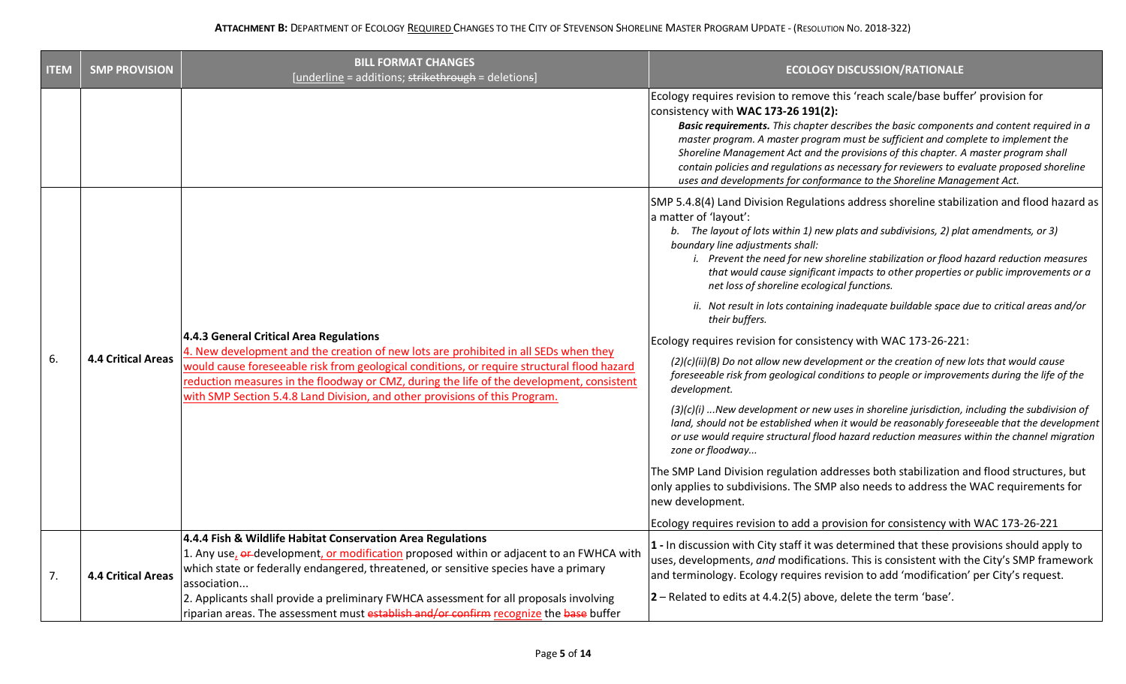| <b>ITEM</b> | <b>SMP PROVISION</b>      | <b>BILL FORMAT CHANGES</b><br>[underline = additions; strikethrough = deletions]                                                                                                                                                                                                                                                                                                                                                                   | <b>ECOLOGY DISCUSSION/RATIONALE</b>                                                                                                                                                                                                                                                                                                                                                                                                                                                                                                                                                                                                                                                                                                                                                                                                                                                                                                                                                                                                                                                                                                                                                                                                                                                                                                                                                                                                                                                             |
|-------------|---------------------------|----------------------------------------------------------------------------------------------------------------------------------------------------------------------------------------------------------------------------------------------------------------------------------------------------------------------------------------------------------------------------------------------------------------------------------------------------|-------------------------------------------------------------------------------------------------------------------------------------------------------------------------------------------------------------------------------------------------------------------------------------------------------------------------------------------------------------------------------------------------------------------------------------------------------------------------------------------------------------------------------------------------------------------------------------------------------------------------------------------------------------------------------------------------------------------------------------------------------------------------------------------------------------------------------------------------------------------------------------------------------------------------------------------------------------------------------------------------------------------------------------------------------------------------------------------------------------------------------------------------------------------------------------------------------------------------------------------------------------------------------------------------------------------------------------------------------------------------------------------------------------------------------------------------------------------------------------------------|
|             |                           |                                                                                                                                                                                                                                                                                                                                                                                                                                                    | Ecology requires revision to remove this 'reach scale/base buffer' provision for<br>consistency with WAC 173-26 191(2):<br>Basic requirements. This chapter describes the basic components and content required in a<br>master program. A master program must be sufficient and complete to implement the<br>Shoreline Management Act and the provisions of this chapter. A master program shall<br>contain policies and regulations as necessary for reviewers to evaluate proposed shoreline<br>uses and developments for conformance to the Shoreline Management Act.                                                                                                                                                                                                                                                                                                                                                                                                                                                                                                                                                                                                                                                                                                                                                                                                                                                                                                                        |
| 6.          | <b>4.4 Critical Areas</b> | 4.4.3 General Critical Area Regulations<br>4. New development and the creation of new lots are prohibited in all SEDs when they<br>would cause foreseeable risk from geological conditions, or require structural flood hazard<br>reduction measures in the floodway or CMZ, during the life of the development, consistent<br>with SMP Section 5.4.8 Land Division, and other provisions of this Program.                                         | SMP 5.4.8(4) Land Division Regulations address shoreline stabilization and flood hazard as<br>a matter of 'layout':<br>b. The layout of lots within 1) new plats and subdivisions, 2) plat amendments, or 3)<br>boundary line adjustments shall:<br>i. Prevent the need for new shoreline stabilization or flood hazard reduction measures<br>that would cause significant impacts to other properties or public improvements or a<br>net loss of shoreline ecological functions.<br>ii. Not result in lots containing inadequate buildable space due to critical areas and/or<br>their buffers.<br>Ecology requires revision for consistency with WAC 173-26-221:<br>(2)(c)(ii)(B) Do not allow new development or the creation of new lots that would cause<br>foreseeable risk from geological conditions to people or improvements during the life of the<br>development.<br>$(3)(c)(i)$ New development or new uses in shoreline jurisdiction, including the subdivision of<br>land, should not be established when it would be reasonably foreseeable that the development<br>or use would require structural flood hazard reduction measures within the channel migration<br>zone or floodway<br>The SMP Land Division regulation addresses both stabilization and flood structures, but<br>only applies to subdivisions. The SMP also needs to address the WAC requirements for<br>new development.<br>Ecology requires revision to add a provision for consistency with WAC 173-26-221 |
| 7.          | <b>4.4 Critical Areas</b> | 4.4.4 Fish & Wildlife Habitat Conservation Area Regulations<br>1. Any use, or development, or modification proposed within or adjacent to an FWHCA with<br>which state or federally endangered, threatened, or sensitive species have a primary<br>association<br>2. Applicants shall provide a preliminary FWHCA assessment for all proposals involving<br>riparian areas. The assessment must establish and/or confirm recognize the base buffer | 1 - In discussion with City staff it was determined that these provisions should apply to<br>uses, developments, and modifications. This is consistent with the City's SMP framework<br>and terminology. Ecology requires revision to add 'modification' per City's request.<br>$ 2 -$ Related to edits at 4.4.2(5) above, delete the term 'base'.                                                                                                                                                                                                                                                                                                                                                                                                                                                                                                                                                                                                                                                                                                                                                                                                                                                                                                                                                                                                                                                                                                                                              |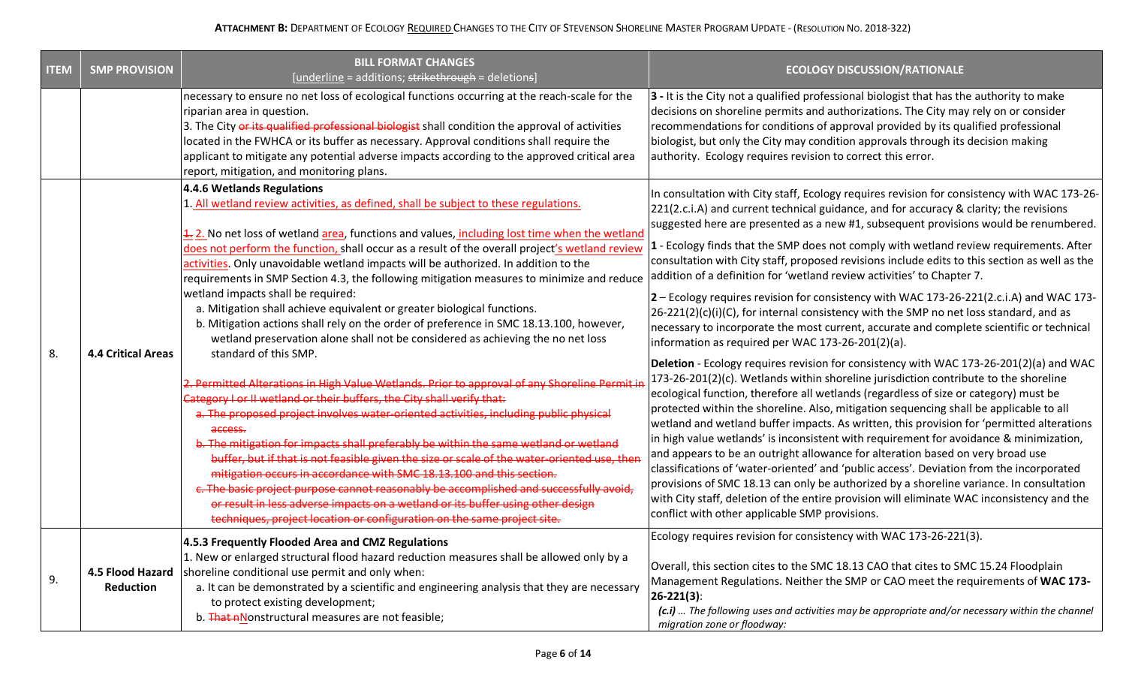| <b>ITEM</b> | <b>SMP PROVISION</b>                 | <b>BILL FORMAT CHANGES</b><br>[underline = additions; strikethrough = deletions]                                                                                                                                                                                                                                                                                                                                                                                                                                                                                                                                                                                                                                                                                                                                                                                                                                                                                                                                                                                                                                                                                                                                                                                                                                                                                                                                                                                                                                                                                                                        | <b>ECOLOGY DISCUSSION/RATIONALE</b>                                                                                                                                                                                                                                                                                                                                                                                                                                                                                                                                                                                                                                                                                                                                                                                                                                                    |  |  |
|-------------|--------------------------------------|---------------------------------------------------------------------------------------------------------------------------------------------------------------------------------------------------------------------------------------------------------------------------------------------------------------------------------------------------------------------------------------------------------------------------------------------------------------------------------------------------------------------------------------------------------------------------------------------------------------------------------------------------------------------------------------------------------------------------------------------------------------------------------------------------------------------------------------------------------------------------------------------------------------------------------------------------------------------------------------------------------------------------------------------------------------------------------------------------------------------------------------------------------------------------------------------------------------------------------------------------------------------------------------------------------------------------------------------------------------------------------------------------------------------------------------------------------------------------------------------------------------------------------------------------------------------------------------------------------|----------------------------------------------------------------------------------------------------------------------------------------------------------------------------------------------------------------------------------------------------------------------------------------------------------------------------------------------------------------------------------------------------------------------------------------------------------------------------------------------------------------------------------------------------------------------------------------------------------------------------------------------------------------------------------------------------------------------------------------------------------------------------------------------------------------------------------------------------------------------------------------|--|--|
|             |                                      | necessary to ensure no net loss of ecological functions occurring at the reach-scale for the<br>riparian area in question.<br>3. The City or its qualified professional biologist shall condition the approval of activities<br>located in the FWHCA or its buffer as necessary. Approval conditions shall require the<br>applicant to mitigate any potential adverse impacts according to the approved critical area<br>report, mitigation, and monitoring plans.<br>4.4.6 Wetlands Regulations                                                                                                                                                                                                                                                                                                                                                                                                                                                                                                                                                                                                                                                                                                                                                                                                                                                                                                                                                                                                                                                                                                        | $ 3$ - It is the City not a qualified professional biologist that has the authority to make<br>decisions on shoreline permits and authorizations. The City may rely on or consider<br>recommendations for conditions of approval provided by its qualified professional<br>biologist, but only the City may condition approvals through its decision making<br>authority. Ecology requires revision to correct this error.                                                                                                                                                                                                                                                                                                                                                                                                                                                             |  |  |
|             |                                      | 1. All wetland review activities, as defined, shall be subject to these regulations.<br>4. 2. No net loss of wetland area, functions and values, including lost time when the wetland<br>does not perform the function, shall occur as a result of the overall project's wetland review<br>activities. Only unavoidable wetland impacts will be authorized. In addition to the<br>requirements in SMP Section 4.3, the following mitigation measures to minimize and reduce<br>wetland impacts shall be required:<br>a. Mitigation shall achieve equivalent or greater biological functions.<br>b. Mitigation actions shall rely on the order of preference in SMC 18.13.100, however,<br>wetland preservation alone shall not be considered as achieving the no net loss<br>standard of this SMP.<br>2. Permitted Alterations in High Value Wetlands. Prior to approval of any Shoreline Permit i<br>Category I or II wetland or their buffers, the City shall verify that:<br>a. The proposed project involves water-oriented activities, including public physical<br>access.<br>b. The mitigation for impacts shall preferably be within the same wetland or wetland<br>buffer, but if that is not feasible given the size or scale of the water-oriented use, ther<br>mitigation occurs in accordance with SMC 18.13.100 and this section.<br>c. The basic project purpose cannot reasonably be accomplished and successfully avoid,<br>or result in less adverse impacts on a wetland or its buffer using other design<br>techniques, project location or configuration on the same project site. | In consultation with City staff, Ecology requires revision for consistency with WAC 173-26-<br>221(2.c.i.A) and current technical guidance, and for accuracy & clarity; the revisions<br>suggested here are presented as a new #1, subsequent provisions would be renumbered.<br>1 - Ecology finds that the SMP does not comply with wetland review requirements. After<br>consultation with City staff, proposed revisions include edits to this section as well as the<br>addition of a definition for 'wetland review activities' to Chapter 7.                                                                                                                                                                                                                                                                                                                                     |  |  |
| 8.          | <b>4.4 Critical Areas</b>            |                                                                                                                                                                                                                                                                                                                                                                                                                                                                                                                                                                                                                                                                                                                                                                                                                                                                                                                                                                                                                                                                                                                                                                                                                                                                                                                                                                                                                                                                                                                                                                                                         | $2$ – Ecology requires revision for consistency with WAC 173-26-221(2.c.i.A) and WAC 173-<br>$26-221(2)(c)(i)(C)$ , for internal consistency with the SMP no net loss standard, and as<br>necessary to incorporate the most current, accurate and complete scientific or technical<br>information as required per WAC 173-26-201(2)(a).<br>Deletion - Ecology requires revision for consistency with WAC 173-26-201(2)(a) and WAC                                                                                                                                                                                                                                                                                                                                                                                                                                                      |  |  |
|             |                                      |                                                                                                                                                                                                                                                                                                                                                                                                                                                                                                                                                                                                                                                                                                                                                                                                                                                                                                                                                                                                                                                                                                                                                                                                                                                                                                                                                                                                                                                                                                                                                                                                         | 173-26-201(2)(c). Wetlands within shoreline jurisdiction contribute to the shoreline<br>ecological function, therefore all wetlands (regardless of size or category) must be<br>protected within the shoreline. Also, mitigation sequencing shall be applicable to all<br>wetland and wetland buffer impacts. As written, this provision for 'permitted alterations<br>in high value wetlands' is inconsistent with requirement for avoidance & minimization,<br>and appears to be an outright allowance for alteration based on very broad use<br>classifications of 'water-oriented' and 'public access'. Deviation from the incorporated<br>provisions of SMC 18.13 can only be authorized by a shoreline variance. In consultation<br>with City staff, deletion of the entire provision will eliminate WAC inconsistency and the<br>conflict with other applicable SMP provisions. |  |  |
| 9.          | 4.5 Flood Hazard<br><b>Reduction</b> | 4.5.3 Frequently Flooded Area and CMZ Regulations<br>1. New or enlarged structural flood hazard reduction measures shall be allowed only by a<br>shoreline conditional use permit and only when:<br>a. It can be demonstrated by a scientific and engineering analysis that they are necessary<br>to protect existing development;<br>b. That a Nonstructural measures are not feasible;                                                                                                                                                                                                                                                                                                                                                                                                                                                                                                                                                                                                                                                                                                                                                                                                                                                                                                                                                                                                                                                                                                                                                                                                                | Ecology requires revision for consistency with WAC 173-26-221(3).<br>Overall, this section cites to the SMC 18.13 CAO that cites to SMC 15.24 Floodplain<br>Management Regulations. Neither the SMP or CAO meet the requirements of WAC 173-<br>$26 - 221(3)$ :<br>(c.i)  The following uses and activities may be appropriate and/or necessary within the channel<br>migration zone or floodway:                                                                                                                                                                                                                                                                                                                                                                                                                                                                                      |  |  |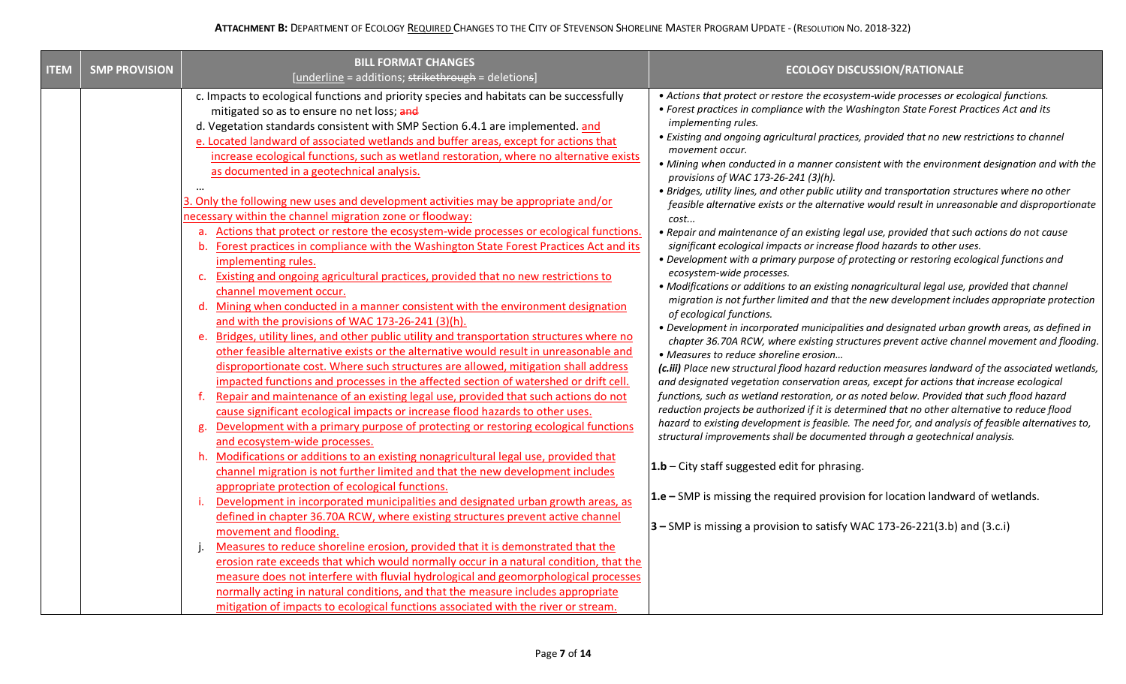| <b>ITEM</b> | <b>SMP PROVISION</b> | <b>BILL FORMAT CHANGES</b><br>[underline = additions; strikethrough = deletions]                                                                                                                                                                                                                                                                                                                                                                                                                                                                                                                                                                                                                                                                                                                                                                                                                                                                    | <b>ECOLOGY DISCUSSION/RATIONALE</b>                                                                                                                                                                                                                                                                                                                                                                                                                                                                                                                                                                                                                                                                                                                                                                                                                                                                                                                                                                                                                                                       |
|-------------|----------------------|-----------------------------------------------------------------------------------------------------------------------------------------------------------------------------------------------------------------------------------------------------------------------------------------------------------------------------------------------------------------------------------------------------------------------------------------------------------------------------------------------------------------------------------------------------------------------------------------------------------------------------------------------------------------------------------------------------------------------------------------------------------------------------------------------------------------------------------------------------------------------------------------------------------------------------------------------------|-------------------------------------------------------------------------------------------------------------------------------------------------------------------------------------------------------------------------------------------------------------------------------------------------------------------------------------------------------------------------------------------------------------------------------------------------------------------------------------------------------------------------------------------------------------------------------------------------------------------------------------------------------------------------------------------------------------------------------------------------------------------------------------------------------------------------------------------------------------------------------------------------------------------------------------------------------------------------------------------------------------------------------------------------------------------------------------------|
|             |                      | c. Impacts to ecological functions and priority species and habitats can be successfully<br>mitigated so as to ensure no net loss; and<br>d. Vegetation standards consistent with SMP Section 6.4.1 are implemented. and<br>e. Located landward of associated wetlands and buffer areas, except for actions that<br>increase ecological functions, such as wetland restoration, where no alternative exists<br>as documented in a geotechnical analysis.<br>$\cdots$<br>3. Only the following new uses and development activities may be appropriate and/or<br>necessary within the channel migration zone or floodway:<br>a. Actions that protect or restore the ecosystem-wide processes or ecological functions.<br>Forest practices in compliance with the Washington State Forest Practices Act and its<br>implementing rules.                                                                                                                 | • Actions that protect or restore the ecosystem-wide processes or ecological functions.<br>• Forest practices in compliance with the Washington State Forest Practices Act and its<br>implementing rules.<br>• Existing and ongoing agricultural practices, provided that no new restrictions to channel<br>movement occur.<br>. Mining when conducted in a manner consistent with the environment designation and with the<br>provisions of WAC 173-26-241 (3)(h).<br>· Bridges, utility lines, and other public utility and transportation structures where no other<br>feasible alternative exists or the alternative would result in unreasonable and disproportionate<br>cost<br>• Repair and maintenance of an existing legal use, provided that such actions do not cause<br>significant ecological impacts or increase flood hazards to other uses.<br>• Development with a primary purpose of protecting or restoring ecological functions and                                                                                                                                   |
|             |                      | Existing and ongoing agricultural practices, provided that no new restrictions to<br>$\mathsf{C}$ .<br>channel movement occur.<br>d. Mining when conducted in a manner consistent with the environment designation<br>and with the provisions of WAC 173-26-241 (3)(h).<br>Bridges, utility lines, and other public utility and transportation structures where no<br>e.<br>other feasible alternative exists or the alternative would result in unreasonable and<br>disproportionate cost. Where such structures are allowed, mitigation shall address<br>impacted functions and processes in the affected section of watershed or drift cell.<br>Repair and maintenance of an existing legal use, provided that such actions do not<br>cause significant ecological impacts or increase flood hazards to other uses.<br>Development with a primary purpose of protecting or restoring ecological functions<br>g.<br>and ecosystem-wide processes. | ecosystem-wide processes.<br>• Modifications or additions to an existing nonagricultural legal use, provided that channel<br>migration is not further limited and that the new development includes appropriate protection<br>of ecological functions.<br>. Development in incorporated municipalities and designated urban growth areas, as defined in<br>chapter 36.70A RCW, where existing structures prevent active channel movement and flooding.<br>• Measures to reduce shoreline erosion<br>(c.iii) Place new structural flood hazard reduction measures landward of the associated wetlands,<br>and designated vegetation conservation areas, except for actions that increase ecological<br>functions, such as wetland restoration, or as noted below. Provided that such flood hazard<br>reduction projects be authorized if it is determined that no other alternative to reduce flood<br>hazard to existing development is feasible. The need for, and analysis of feasible alternatives to,<br>structural improvements shall be documented through a geotechnical analysis. |
|             |                      | h. Modifications or additions to an existing nonagricultural legal use, provided that<br>channel migration is not further limited and that the new development includes<br>appropriate protection of ecological functions.                                                                                                                                                                                                                                                                                                                                                                                                                                                                                                                                                                                                                                                                                                                          | $1.b$ – City staff suggested edit for phrasing.                                                                                                                                                                                                                                                                                                                                                                                                                                                                                                                                                                                                                                                                                                                                                                                                                                                                                                                                                                                                                                           |
|             |                      | Development in incorporated municipalities and designated urban growth areas, as<br>defined in chapter 36.70A RCW, where existing structures prevent active channel<br>movement and flooding.                                                                                                                                                                                                                                                                                                                                                                                                                                                                                                                                                                                                                                                                                                                                                       | $1.e$ – SMP is missing the required provision for location landward of wetlands.<br>$3 -$ SMP is missing a provision to satisfy WAC 173-26-221(3.b) and (3.c.i)                                                                                                                                                                                                                                                                                                                                                                                                                                                                                                                                                                                                                                                                                                                                                                                                                                                                                                                           |
|             |                      | Measures to reduce shoreline erosion, provided that it is demonstrated that the<br>erosion rate exceeds that which would normally occur in a natural condition, that the<br>measure does not interfere with fluvial hydrological and geomorphological processes<br>normally acting in natural conditions, and that the measure includes appropriate<br>mitigation of impacts to ecological functions associated with the river or stream.                                                                                                                                                                                                                                                                                                                                                                                                                                                                                                           |                                                                                                                                                                                                                                                                                                                                                                                                                                                                                                                                                                                                                                                                                                                                                                                                                                                                                                                                                                                                                                                                                           |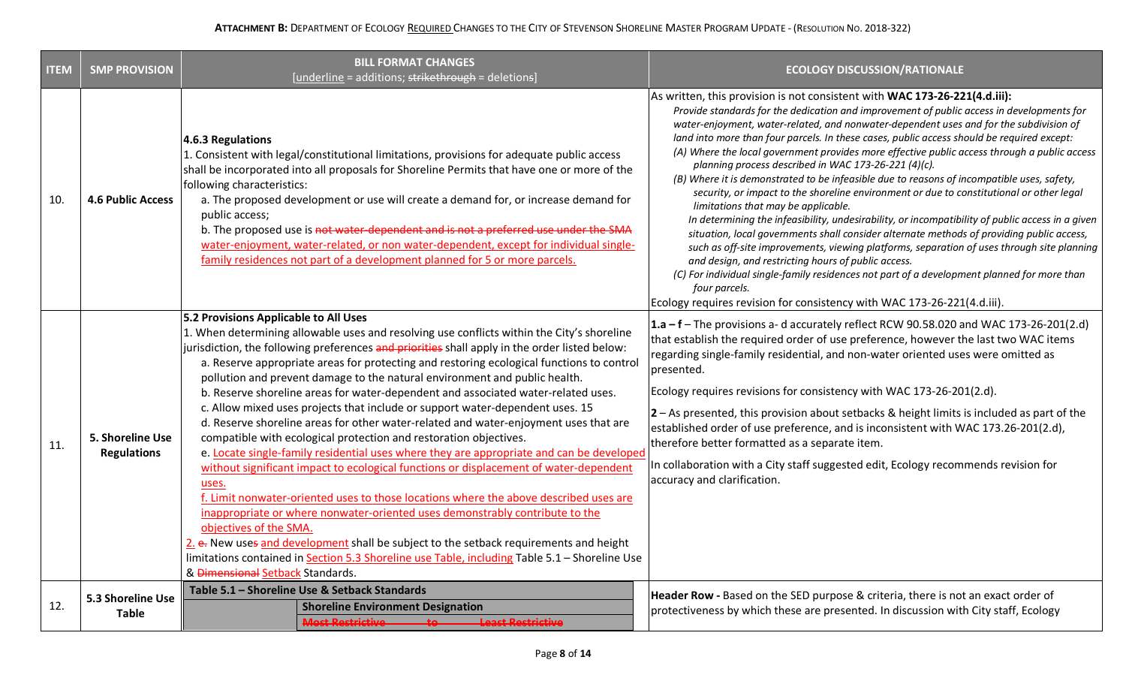| <b>ITEM</b> | <b>SMP PROVISION</b>                   | <b>BILL FORMAT CHANGES</b><br>[underline = additions; strikethrough = deletions]                                                                                                                                                                                                                                                                                                                                                                                                                                                                                                                                                                                                                                                                                                                                                                                                                                                                                                                                                                                                                                                                                                                                                                                                                                                                                                   | <b>ECOLOGY DISCUSSION/RATIONALE</b>                                                                                                                                                                                                                                                                                                                                                                                                                                                                                                                                                                                                                                                                                                                                                                                                                                                                                                                                                                                                                                                                                                                                                                                                                                                                       |
|-------------|----------------------------------------|------------------------------------------------------------------------------------------------------------------------------------------------------------------------------------------------------------------------------------------------------------------------------------------------------------------------------------------------------------------------------------------------------------------------------------------------------------------------------------------------------------------------------------------------------------------------------------------------------------------------------------------------------------------------------------------------------------------------------------------------------------------------------------------------------------------------------------------------------------------------------------------------------------------------------------------------------------------------------------------------------------------------------------------------------------------------------------------------------------------------------------------------------------------------------------------------------------------------------------------------------------------------------------------------------------------------------------------------------------------------------------|-----------------------------------------------------------------------------------------------------------------------------------------------------------------------------------------------------------------------------------------------------------------------------------------------------------------------------------------------------------------------------------------------------------------------------------------------------------------------------------------------------------------------------------------------------------------------------------------------------------------------------------------------------------------------------------------------------------------------------------------------------------------------------------------------------------------------------------------------------------------------------------------------------------------------------------------------------------------------------------------------------------------------------------------------------------------------------------------------------------------------------------------------------------------------------------------------------------------------------------------------------------------------------------------------------------|
| 10.         | <b>4.6 Public Access</b>               | 4.6.3 Regulations<br>1. Consistent with legal/constitutional limitations, provisions for adequate public access<br>shall be incorporated into all proposals for Shoreline Permits that have one or more of the<br>following characteristics:<br>a. The proposed development or use will create a demand for, or increase demand for<br>public access:<br>b. The proposed use is not water-dependent and is not a preferred use under the SMA<br>water-enjoyment, water-related, or non water-dependent, except for individual single-<br>family residences not part of a development planned for 5 or more parcels.                                                                                                                                                                                                                                                                                                                                                                                                                                                                                                                                                                                                                                                                                                                                                                | As written, this provision is not consistent with WAC 173-26-221(4.d.iii):<br>Provide standards for the dedication and improvement of public access in developments for<br>water-enjoyment, water-related, and nonwater-dependent uses and for the subdivision of<br>land into more than four parcels. In these cases, public access should be required except:<br>(A) Where the local government provides more effective public access through a public access<br>planning process described in WAC 173-26-221 (4)(c).<br>(B) Where it is demonstrated to be infeasible due to reasons of incompatible uses, safety,<br>security, or impact to the shoreline environment or due to constitutional or other legal<br>limitations that may be applicable.<br>In determining the infeasibility, undesirability, or incompatibility of public access in a given<br>situation, local governments shall consider alternate methods of providing public access,<br>such as off-site improvements, viewing platforms, separation of uses through site planning<br>and design, and restricting hours of public access.<br>(C) For individual single-family residences not part of a development planned for more than<br>four parcels.<br>Ecology requires revision for consistency with WAC 173-26-221(4.d.iii). |
| 11.         | 5. Shoreline Use<br><b>Regulations</b> | 5.2 Provisions Applicable to All Uses<br>1. When determining allowable uses and resolving use conflicts within the City's shoreline<br>jurisdiction, the following preferences and priorities shall apply in the order listed below:<br>a. Reserve appropriate areas for protecting and restoring ecological functions to control<br>pollution and prevent damage to the natural environment and public health.<br>b. Reserve shoreline areas for water-dependent and associated water-related uses.<br>c. Allow mixed uses projects that include or support water-dependent uses. 15<br>d. Reserve shoreline areas for other water-related and water-enjoyment uses that are<br>compatible with ecological protection and restoration objectives.<br>e. Locate single-family residential uses where they are appropriate and can be developed<br>without significant impact to ecological functions or displacement of water-dependent<br>uses.<br>f. Limit nonwater-oriented uses to those locations where the above described uses are<br>inappropriate or where nonwater-oriented uses demonstrably contribute to the<br>objectives of the SMA.<br>2. e. New uses and development shall be subject to the setback requirements and height<br>limitations contained in Section 5.3 Shoreline use Table, including Table 5.1 - Shoreline Use<br>& Dimensional Setback Standards. | $1.a - f$ The provisions a-d accurately reflect RCW 90.58.020 and WAC 173-26-201(2.d)<br>that establish the required order of use preference, however the last two WAC items<br>regarding single-family residential, and non-water oriented uses were omitted as<br>presented.<br>Ecology requires revisions for consistency with WAC 173-26-201(2.d).<br>$2 - As presented, this provision about setbacks & height limits is included as part of the$<br>established order of use preference, and is inconsistent with WAC 173.26-201(2.d),<br>therefore better formatted as a separate item.<br>In collaboration with a City staff suggested edit, Ecology recommends revision for<br>accuracy and clarification.                                                                                                                                                                                                                                                                                                                                                                                                                                                                                                                                                                                       |
| 12.         | 5.3 Shoreline Use<br><b>Table</b>      | Table 5.1 - Shoreline Use & Setback Standards<br><b>Shoreline Environment Designation</b><br><b>Most Restrictive</b><br><b>Least Restrictive</b>                                                                                                                                                                                                                                                                                                                                                                                                                                                                                                                                                                                                                                                                                                                                                                                                                                                                                                                                                                                                                                                                                                                                                                                                                                   | Header Row - Based on the SED purpose & criteria, there is not an exact order of<br>protectiveness by which these are presented. In discussion with City staff, Ecology                                                                                                                                                                                                                                                                                                                                                                                                                                                                                                                                                                                                                                                                                                                                                                                                                                                                                                                                                                                                                                                                                                                                   |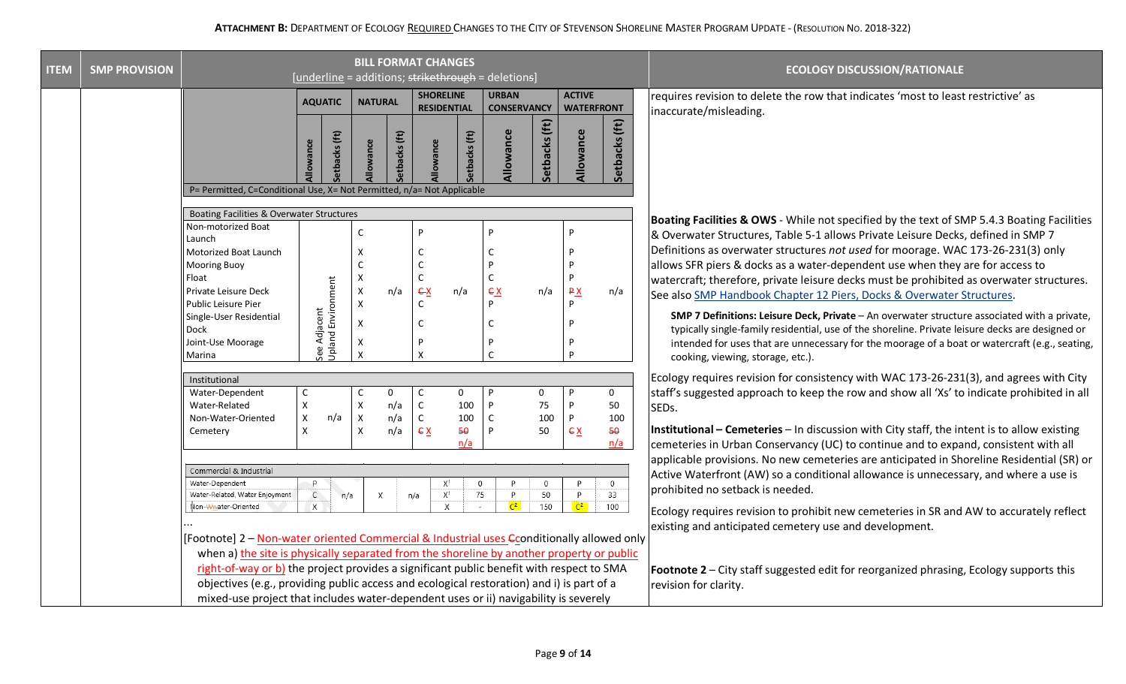| <b>ITEM</b> | <b>SMP PROVISION</b>                                                                                                                                                                    | <b>BILL FORMAT CHANGES</b><br>[underline = additions; strikethrough = deletions]                                                                                                      |                                        |                                                                                                     |                        |                                        |                           |                                    |                    | <b>ECOLOGY DISCUSSION/RATIONALE</b> |                          |                                                                                                                                                                                                                                                                                                                                         |
|-------------|-----------------------------------------------------------------------------------------------------------------------------------------------------------------------------------------|---------------------------------------------------------------------------------------------------------------------------------------------------------------------------------------|----------------------------------------|-----------------------------------------------------------------------------------------------------|------------------------|----------------------------------------|---------------------------|------------------------------------|--------------------|-------------------------------------|--------------------------|-----------------------------------------------------------------------------------------------------------------------------------------------------------------------------------------------------------------------------------------------------------------------------------------------------------------------------------------|
|             |                                                                                                                                                                                         |                                                                                                                                                                                       | <b>AQUATIC</b>                         |                                                                                                     | <b>NATURAL</b>         | <b>SHORELINE</b><br><b>RESIDENTIAL</b> |                           | <b>URBAN</b><br><b>CONSERVANCY</b> |                    | <b>ACTIVE</b><br><b>WATERFRONT</b>  |                          | requires revision to delete the row that indicates 'most to least restrictive' as<br>inaccurate/misleading.                                                                                                                                                                                                                             |
|             |                                                                                                                                                                                         |                                                                                                                                                                                       | <b>Ilowance</b>                        | etbacks (ft)<br>wance                                                                               | etbacks (ft)           | llowance                               | etbacks (ft)              | Allowance                          | Setbacks (ft)      | Allowance                           | Setbacks (ft)            |                                                                                                                                                                                                                                                                                                                                         |
|             |                                                                                                                                                                                         | P= Permitted, C=Conditional Use, X= Not Permitted, n/a= Not Applicable                                                                                                                |                                        |                                                                                                     |                        |                                        |                           |                                    |                    |                                     |                          |                                                                                                                                                                                                                                                                                                                                         |
|             |                                                                                                                                                                                         | Boating Facilities & Overwater Structures                                                                                                                                             |                                        |                                                                                                     |                        |                                        |                           |                                    |                    |                                     |                          |                                                                                                                                                                                                                                                                                                                                         |
|             |                                                                                                                                                                                         | Non-motorized Boat<br>Launch                                                                                                                                                          |                                        | $\mathsf C$                                                                                         |                        | D                                      |                           |                                    |                    | P                                   |                          | Boating Facilities & OWS - While not specified by the text of SMP 5.4.3 Boating Facilities<br>& Overwater Structures, Table 5-1 allows Private Leisure Decks, defined in SMP 7                                                                                                                                                          |
|             |                                                                                                                                                                                         | Motorized Boat Launch<br><b>Mooring Buoy</b><br>Float<br>Private Leisure Deck                                                                                                         | Environment                            | $\boldsymbol{\mathsf{x}}$<br>$\mathsf{C}$<br>$\boldsymbol{\mathsf{x}}$<br>$\boldsymbol{\mathsf{x}}$ | n/a                    | C<br>C<br>$\mathsf C$<br>$\xi$         | n/a                       | C<br>ex                            | n/a                | P<br>P<br>P<br>P X<br>P             | n/a                      | Definitions as overwater structures not used for moorage. WAC 173-26-231(3) only<br>allows SFR piers & docks as a water-dependent use when they are for access to<br>watercraft; therefore, private leisure decks must be prohibited as overwater structures.<br>See also SMP Handbook Chapter 12 Piers, Docks & Overwater Structures.  |
|             |                                                                                                                                                                                         | Public Leisure Pier<br>Single-User Residential<br>Dock<br>Joint-Use Moorage<br>Marina                                                                                                 | See Adjacent<br>Upland Enviro          | $\pmb{\times}$<br>X<br>X<br>$\boldsymbol{\mathsf{x}}$                                               |                        | C<br>C<br>$\boldsymbol{\mathsf{x}}$    |                           | P<br>C<br>C                        |                    | P<br>P                              |                          | SMP 7 Definitions: Leisure Deck, Private - An overwater structure associated with a private,<br>typically single-family residential, use of the shoreline. Private leisure decks are designed or<br>intended for uses that are unnecessary for the moorage of a boat or watercraft (e.g., seating,<br>cooking, viewing, storage, etc.). |
|             |                                                                                                                                                                                         | Institutional                                                                                                                                                                         |                                        |                                                                                                     |                        |                                        |                           |                                    |                    |                                     |                          | Ecology requires revision for consistency with WAC 173-26-231(3), and agrees with City                                                                                                                                                                                                                                                  |
|             |                                                                                                                                                                                         | Water-Dependent<br>Water-Related<br>Non-Water-Oriented                                                                                                                                | C<br>$\mathsf X$<br>$\mathsf X$<br>n/a | C<br>$\pmb{\chi}$<br>$\pmb{\times}$                                                                 | $\Omega$<br>n/a<br>n/a | C<br>$\mathsf C$<br>$\mathsf C$        | $\mathbf 0$<br>100<br>100 | P<br>C                             | 0<br>75<br>100     | P<br>P<br>P                         | $\mathbf 0$<br>50<br>100 | staff's suggested approach to keep the row and show all 'Xs' to indicate prohibited in all<br>SEDs.                                                                                                                                                                                                                                     |
|             |                                                                                                                                                                                         | Cemetery                                                                                                                                                                              | $\pmb{\mathsf{X}}$                     | $\boldsymbol{\mathsf{X}}$                                                                           | n/a                    | EX                                     | 50<br>n/a                 |                                    | 50                 | EX                                  | 50<br>n/a                | Institutional – Cemeteries – In discussion with City staff, the intent is to allow existing<br>cemeteries in Urban Conservancy (UC) to continue and to expand, consistent with all                                                                                                                                                      |
|             |                                                                                                                                                                                         | Commercial & Industrial<br>Water-Dependent<br>Water-Related, Water Enjoyment                                                                                                          | -P<br>$\mathsf C$                      | n/a                                                                                                 | Χ                      | $X^1$<br>$X^1$<br>n/a                  | 0<br>75                   | P<br>P                             | $\mathbf{0}$<br>50 | P<br>P                              | $\circ$<br>33            | applicable provisions. No new cemeteries are anticipated in Shoreline Residential (SR) or<br>Active Waterfront (AW) so a conditional allowance is unnecessary, and where a use is<br>prohibited no setback is needed.                                                                                                                   |
|             |                                                                                                                                                                                         | Non-Wwater-Oriented                                                                                                                                                                   | $\boldsymbol{X}$                       |                                                                                                     |                        | $\boldsymbol{\mathsf{x}}$              |                           | $\sqrt{c^2}$                       | 150                | $C^2$                               | 100                      | Ecology requires revision to prohibit new cemeteries in SR and AW to accurately reflect<br>existing and anticipated cemetery use and development.                                                                                                                                                                                       |
|             | [Footnote] 2 - Non-water oriented Commercial & Industrial uses Econditionally allowed only<br>when a) the site is physically separated from the shoreline by another property or public |                                                                                                                                                                                       |                                        |                                                                                                     |                        |                                        |                           |                                    |                    |                                     |                          |                                                                                                                                                                                                                                                                                                                                         |
|             |                                                                                                                                                                                         |                                                                                                                                                                                       |                                        |                                                                                                     |                        |                                        |                           |                                    |                    |                                     |                          |                                                                                                                                                                                                                                                                                                                                         |
|             |                                                                                                                                                                                         | right-of-way or b) the project provides a significant public benefit with respect to SMA<br>objectives (e.g., providing public access and ecological restoration) and i) is part of a |                                        |                                                                                                     |                        |                                        |                           |                                    |                    |                                     |                          | <b>Footnote 2</b> - City staff suggested edit for reorganized phrasing, Ecology supports this<br>revision for clarity.                                                                                                                                                                                                                  |
|             |                                                                                                                                                                                         | mixed-use project that includes water-dependent uses or ii) navigability is severely                                                                                                  |                                        |                                                                                                     |                        |                                        |                           |                                    |                    |                                     |                          |                                                                                                                                                                                                                                                                                                                                         |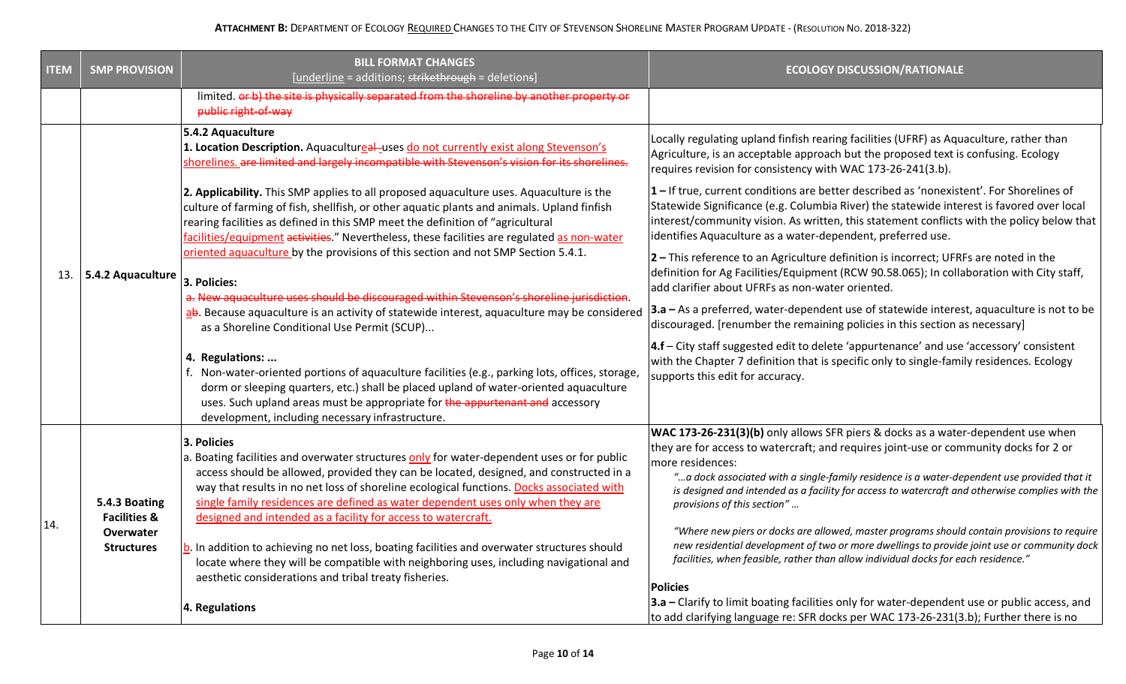| <b>ITEM</b> | <b>SMP PROVISION</b>                                                       | <b>BILL FORMAT CHANGES</b><br>[underline = additions; strikethrough = deletions]                                                                                                                                                                                                                                                                                                                                                                                                                                                                                                                                                                                                                                       | <b>ECOLOGY DISCUSSION/RATIONALE</b>                                                                                                                                                                                                                                                                                                                                                                                                                                                                                                                                                                                                                                                                                                                                   |
|-------------|----------------------------------------------------------------------------|------------------------------------------------------------------------------------------------------------------------------------------------------------------------------------------------------------------------------------------------------------------------------------------------------------------------------------------------------------------------------------------------------------------------------------------------------------------------------------------------------------------------------------------------------------------------------------------------------------------------------------------------------------------------------------------------------------------------|-----------------------------------------------------------------------------------------------------------------------------------------------------------------------------------------------------------------------------------------------------------------------------------------------------------------------------------------------------------------------------------------------------------------------------------------------------------------------------------------------------------------------------------------------------------------------------------------------------------------------------------------------------------------------------------------------------------------------------------------------------------------------|
|             |                                                                            | limited. or b) the site is physically separated from the shoreline by another property or<br>public right-of-way                                                                                                                                                                                                                                                                                                                                                                                                                                                                                                                                                                                                       |                                                                                                                                                                                                                                                                                                                                                                                                                                                                                                                                                                                                                                                                                                                                                                       |
|             |                                                                            | 5.4.2 Aquaculture<br>1. Location Description. Aquacultureal-uses do not currently exist along Stevenson's<br>shorelines. are limited and largely incompatible with Stevenson's vision for its shorelines.                                                                                                                                                                                                                                                                                                                                                                                                                                                                                                              | Locally regulating upland finfish rearing facilities (UFRF) as Aquaculture, rather than<br>Agriculture, is an acceptable approach but the proposed text is confusing. Ecology<br>requires revision for consistency with WAC 173-26-241(3.b).                                                                                                                                                                                                                                                                                                                                                                                                                                                                                                                          |
|             | 13. $\vert$ 5.4.2 Aquaculture                                              | 2. Applicability. This SMP applies to all proposed aquaculture uses. Aquaculture is the<br>culture of farming of fish, shellfish, or other aquatic plants and animals. Upland finfish<br>rearing facilities as defined in this SMP meet the definition of "agricultural<br>facilities/equipment activities." Nevertheless, these facilities are regulated as non-water<br>oriented aquaculture by the provisions of this section and not SMP Section 5.4.1.<br>3. Policies:<br>a. New aquaculture uses should be discouraged within Stevenson's shoreline jurisdiction.<br>ab. Because aquaculture is an activity of statewide interest, aquaculture may be considered<br>as a Shoreline Conditional Use Permit (SCUP) | 1-If true, current conditions are better described as 'nonexistent'. For Shorelines of<br>Statewide Significance (e.g. Columbia River) the statewide interest is favored over local<br>interest/community vision. As written, this statement conflicts with the policy below that<br>identifies Aquaculture as a water-dependent, preferred use.<br>2 - This reference to an Agriculture definition is incorrect; UFRFs are noted in the<br>definition for Ag Facilities/Equipment (RCW 90.58.065); In collaboration with City staff,<br>add clarifier about UFRFs as non-water oriented.<br>3.a – As a preferred, water-dependent use of statewide interest, aquaculture is not to be<br>discouraged. [renumber the remaining policies in this section as necessary] |
|             |                                                                            | 4. Regulations:<br>f. Non-water-oriented portions of aquaculture facilities (e.g., parking lots, offices, storage,<br>dorm or sleeping quarters, etc.) shall be placed upland of water-oriented aquaculture<br>uses. Such upland areas must be appropriate for the appurtenant and accessory<br>development, including necessary infrastructure.                                                                                                                                                                                                                                                                                                                                                                       | 4.f - City staff suggested edit to delete 'appurtenance' and use 'accessory' consistent<br>with the Chapter 7 definition that is specific only to single-family residences. Ecology<br>supports this edit for accuracy.                                                                                                                                                                                                                                                                                                                                                                                                                                                                                                                                               |
| 14.         | 5.4.3 Boating<br><b>Facilities &amp;</b><br>Overwater<br><b>Structures</b> | 3. Policies<br>a. Boating facilities and overwater structures only for water-dependent uses or for public<br>access should be allowed, provided they can be located, designed, and constructed in a<br>way that results in no net loss of shoreline ecological functions. Docks associated with<br>single family residences are defined as water dependent uses only when they are<br>designed and intended as a facility for access to watercraft.<br>b. In addition to achieving no net loss, boating facilities and overwater structures should<br>locate where they will be compatible with neighboring uses, including navigational and<br>aesthetic considerations and tribal treaty fisheries.                  | WAC 173-26-231(3)(b) only allows SFR piers & docks as a water-dependent use when<br>they are for access to watercraft; and requires joint-use or community docks for 2 or<br>more residences:<br>"a dock associated with a single-family residence is a water-dependent use provided that it<br>is designed and intended as a facility for access to watercraft and otherwise complies with the<br>provisions of this section"<br>"Where new piers or docks are allowed, master programs should contain provisions to require<br>new residential development of two or more dwellings to provide joint use or community dock<br>facilities, when feasible, rather than allow individual docks for each residence."<br><b>Policies</b>                                 |
|             |                                                                            | 4. Regulations                                                                                                                                                                                                                                                                                                                                                                                                                                                                                                                                                                                                                                                                                                         | 3.a - Clarify to limit boating facilities only for water-dependent use or public access, and<br>to add clarifying language re: SFR docks per WAC 173-26-231(3.b); Further there is no                                                                                                                                                                                                                                                                                                                                                                                                                                                                                                                                                                                 |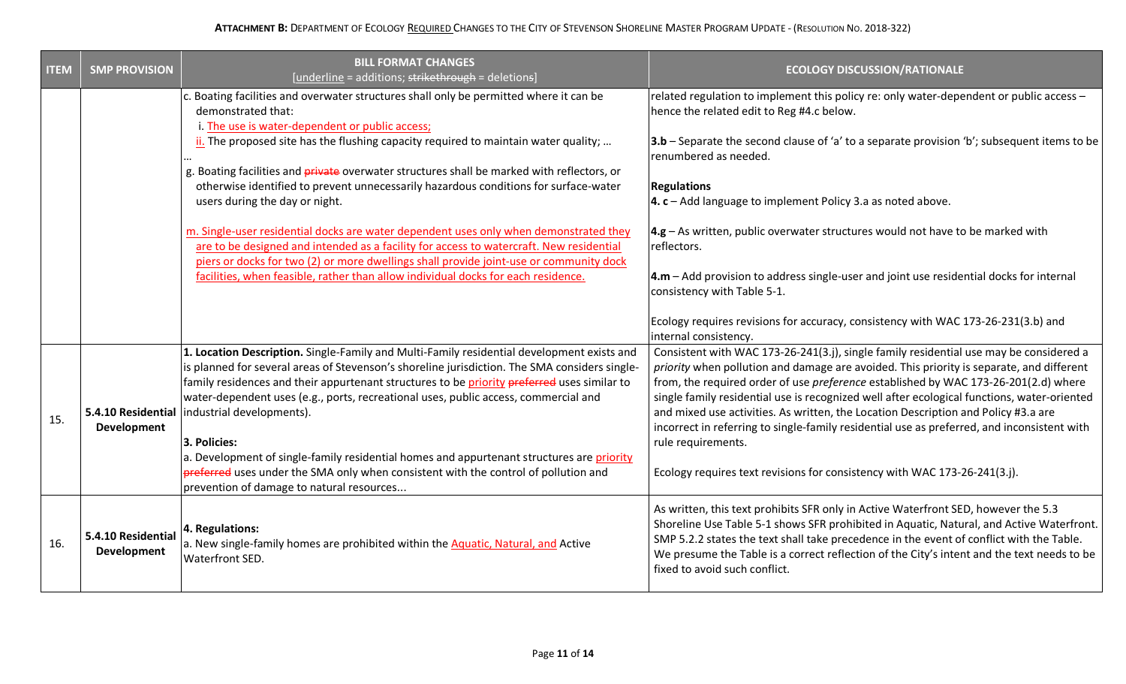| <b>ITEM</b> | <b>SMP PROVISION</b>                     | <b>BILL FORMAT CHANGES</b><br>[underline = additions; strikethrough = deletions]                                                                                                                                                                                                                                                                                                                                                                                                                                                                                                                                                      | <b>ECOLOGY DISCUSSION/RATIONALE</b>                                                                                                                                                                                                                                                                                                                                                                                                                                                                                                                                                                                                                              |
|-------------|------------------------------------------|---------------------------------------------------------------------------------------------------------------------------------------------------------------------------------------------------------------------------------------------------------------------------------------------------------------------------------------------------------------------------------------------------------------------------------------------------------------------------------------------------------------------------------------------------------------------------------------------------------------------------------------|------------------------------------------------------------------------------------------------------------------------------------------------------------------------------------------------------------------------------------------------------------------------------------------------------------------------------------------------------------------------------------------------------------------------------------------------------------------------------------------------------------------------------------------------------------------------------------------------------------------------------------------------------------------|
|             |                                          | c. Boating facilities and overwater structures shall only be permitted where it can be<br>demonstrated that:<br>i. The use is water-dependent or public access;                                                                                                                                                                                                                                                                                                                                                                                                                                                                       | related regulation to implement this policy re: only water-dependent or public access -<br>hence the related edit to Reg #4.c below.                                                                                                                                                                                                                                                                                                                                                                                                                                                                                                                             |
|             |                                          | $\frac{1}{2}$ . The proposed site has the flushing capacity required to maintain water quality;                                                                                                                                                                                                                                                                                                                                                                                                                                                                                                                                       | 3.b - Separate the second clause of 'a' to a separate provision 'b'; subsequent items to be<br>renumbered as needed.                                                                                                                                                                                                                                                                                                                                                                                                                                                                                                                                             |
|             |                                          | g. Boating facilities and <i>private</i> overwater structures shall be marked with reflectors, or<br>otherwise identified to prevent unnecessarily hazardous conditions for surface-water<br>users during the day or night.                                                                                                                                                                                                                                                                                                                                                                                                           | <b>Regulations</b><br>4. c - Add language to implement Policy 3.a as noted above.                                                                                                                                                                                                                                                                                                                                                                                                                                                                                                                                                                                |
|             |                                          | m. Single-user residential docks are water dependent uses only when demonstrated they<br>are to be designed and intended as a facility for access to watercraft. New residential<br>piers or docks for two (2) or more dwellings shall provide joint-use or community dock                                                                                                                                                                                                                                                                                                                                                            | $ 4.g - As$ written, public overwater structures would not have to be marked with<br>reflectors.                                                                                                                                                                                                                                                                                                                                                                                                                                                                                                                                                                 |
|             |                                          | facilities, when feasible, rather than allow individual docks for each residence.                                                                                                                                                                                                                                                                                                                                                                                                                                                                                                                                                     | 4.m - Add provision to address single-user and joint use residential docks for internal<br>consistency with Table 5-1.                                                                                                                                                                                                                                                                                                                                                                                                                                                                                                                                           |
|             |                                          |                                                                                                                                                                                                                                                                                                                                                                                                                                                                                                                                                                                                                                       | Ecology requires revisions for accuracy, consistency with WAC 173-26-231(3.b) and<br>internal consistency.                                                                                                                                                                                                                                                                                                                                                                                                                                                                                                                                                       |
| 15.         | <b>Development</b>                       | 1. Location Description. Single-Family and Multi-Family residential development exists and<br>is planned for several areas of Stevenson's shoreline jurisdiction. The SMA considers single-<br>family residences and their appurtenant structures to be priority preferred uses similar to<br>water-dependent uses (e.g., ports, recreational uses, public access, commercial and<br>5.4.10 Residential industrial developments).<br>3. Policies:<br>a. Development of single-family residential homes and appurtenant structures are priority<br>preferred uses under the SMA only when consistent with the control of pollution and | Consistent with WAC 173-26-241(3.j), single family residential use may be considered a<br>priority when pollution and damage are avoided. This priority is separate, and different<br>from, the required order of use preference established by WAC 173-26-201(2.d) where<br>single family residential use is recognized well after ecological functions, water-oriented<br>and mixed use activities. As written, the Location Description and Policy #3.a are<br>incorrect in referring to single-family residential use as preferred, and inconsistent with<br>rule requirements.<br>Ecology requires text revisions for consistency with WAC 173-26-241(3.j). |
|             |                                          | prevention of damage to natural resources                                                                                                                                                                                                                                                                                                                                                                                                                                                                                                                                                                                             |                                                                                                                                                                                                                                                                                                                                                                                                                                                                                                                                                                                                                                                                  |
| 16.         | 5.4.10 Residential<br><b>Development</b> | 4. Regulations:<br>a. New single-family homes are prohibited within the Aquatic, Natural, and Active<br>Waterfront SED.                                                                                                                                                                                                                                                                                                                                                                                                                                                                                                               | As written, this text prohibits SFR only in Active Waterfront SED, however the 5.3<br>Shoreline Use Table 5-1 shows SFR prohibited in Aquatic, Natural, and Active Waterfront.<br>SMP 5.2.2 states the text shall take precedence in the event of conflict with the Table.<br>We presume the Table is a correct reflection of the City's intent and the text needs to be<br>fixed to avoid such conflict.                                                                                                                                                                                                                                                        |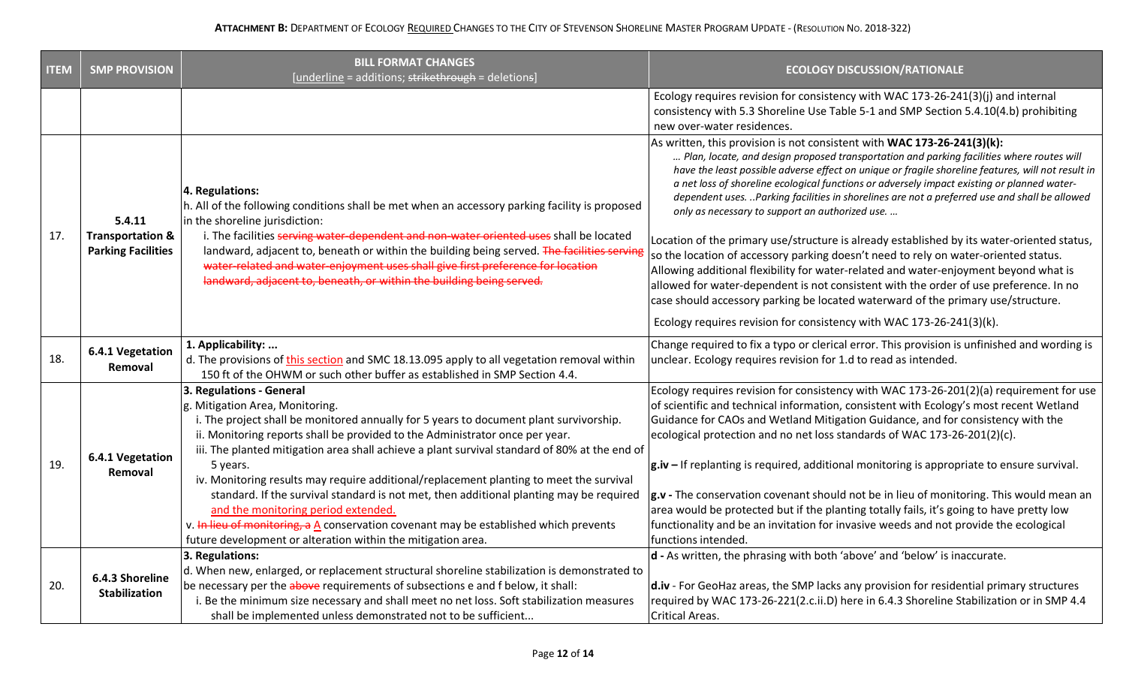| <b>ITEM</b> | <b>SMP PROVISION</b>                                               | <b>BILL FORMAT CHANGES</b><br>[underline = additions; strikethrough = deletions]                                                                                                                                                                                                                                                                                                                                                                                                                                                                                                                                                                                                                                                                       | <b>ECOLOGY DISCUSSION/RATIONALE</b>                                                                                                                                                                                                                                                                                                                                                                                                                                                                                                                                                                                                                                                                                                                                                                                                                                                                                                                                                     |
|-------------|--------------------------------------------------------------------|--------------------------------------------------------------------------------------------------------------------------------------------------------------------------------------------------------------------------------------------------------------------------------------------------------------------------------------------------------------------------------------------------------------------------------------------------------------------------------------------------------------------------------------------------------------------------------------------------------------------------------------------------------------------------------------------------------------------------------------------------------|-----------------------------------------------------------------------------------------------------------------------------------------------------------------------------------------------------------------------------------------------------------------------------------------------------------------------------------------------------------------------------------------------------------------------------------------------------------------------------------------------------------------------------------------------------------------------------------------------------------------------------------------------------------------------------------------------------------------------------------------------------------------------------------------------------------------------------------------------------------------------------------------------------------------------------------------------------------------------------------------|
|             |                                                                    |                                                                                                                                                                                                                                                                                                                                                                                                                                                                                                                                                                                                                                                                                                                                                        | Ecology requires revision for consistency with WAC 173-26-241(3)(j) and internal<br>consistency with 5.3 Shoreline Use Table 5-1 and SMP Section 5.4.10(4.b) prohibiting<br>new over-water residences.                                                                                                                                                                                                                                                                                                                                                                                                                                                                                                                                                                                                                                                                                                                                                                                  |
| 17.         | 5.4.11<br><b>Transportation &amp;</b><br><b>Parking Facilities</b> | 4. Regulations:<br>h. All of the following conditions shall be met when an accessory parking facility is proposed<br>in the shoreline jurisdiction:<br>i. The facilities serving water-dependent and non-water oriented uses shall be located<br>landward, adjacent to, beneath or within the building being served. The facilities serving<br>water-related and water-enjoyment uses shall give first preference for location<br>landward, adjacent to, beneath, or within the building being served.                                                                                                                                                                                                                                                 | As written, this provision is not consistent with WAC 173-26-241(3)(k):<br>Plan, locate, and design proposed transportation and parking facilities where routes will<br>have the least possible adverse effect on unique or fragile shoreline features, will not result in<br>a net loss of shoreline ecological functions or adversely impact existing or planned water-<br>dependent uses. Parking facilities in shorelines are not a preferred use and shall be allowed<br>only as necessary to support an authorized use.<br>Location of the primary use/structure is already established by its water-oriented status,<br>so the location of accessory parking doesn't need to rely on water-oriented status.<br>Allowing additional flexibility for water-related and water-enjoyment beyond what is<br>allowed for water-dependent is not consistent with the order of use preference. In no<br>case should accessory parking be located waterward of the primary use/structure. |
|             |                                                                    |                                                                                                                                                                                                                                                                                                                                                                                                                                                                                                                                                                                                                                                                                                                                                        | Ecology requires revision for consistency with WAC 173-26-241(3)(k).                                                                                                                                                                                                                                                                                                                                                                                                                                                                                                                                                                                                                                                                                                                                                                                                                                                                                                                    |
| 18.         | 6.4.1 Vegetation<br>Removal                                        | 1. Applicability:<br>d. The provisions of this section and SMC 18.13.095 apply to all vegetation removal within<br>150 ft of the OHWM or such other buffer as established in SMP Section 4.4.                                                                                                                                                                                                                                                                                                                                                                                                                                                                                                                                                          | Change required to fix a typo or clerical error. This provision is unfinished and wording is<br>unclear. Ecology requires revision for 1.d to read as intended.                                                                                                                                                                                                                                                                                                                                                                                                                                                                                                                                                                                                                                                                                                                                                                                                                         |
| 19.         | 6.4.1 Vegetation<br>Removal                                        | 3. Regulations - General<br>g. Mitigation Area, Monitoring.<br>i. The project shall be monitored annually for 5 years to document plant survivorship.<br>ii. Monitoring reports shall be provided to the Administrator once per year.<br>iii. The planted mitigation area shall achieve a plant survival standard of 80% at the end of<br>5 years.<br>iv. Monitoring results may require additional/replacement planting to meet the survival<br>standard. If the survival standard is not met, then additional planting may be required<br>and the monitoring period extended.<br>v. In lieu of monitoring, a $\underline{A}$ conservation covenant may be established which prevents<br>future development or alteration within the mitigation area. | Ecology requires revision for consistency with WAC 173-26-201(2)(a) requirement for use<br>of scientific and technical information, consistent with Ecology's most recent Wetland<br>Guidance for CAOs and Wetland Mitigation Guidance, and for consistency with the<br>ecological protection and no net loss standards of WAC 173-26-201(2)(c).<br>$ g$ .iv – If replanting is required, additional monitoring is appropriate to ensure survival.<br>$\left  \mathbf{g} \cdot \mathbf{v} \right $ - The conservation covenant should not be in lieu of monitoring. This would mean an<br>area would be protected but if the planting totally fails, it's going to have pretty low<br>functionality and be an invitation for invasive weeds and not provide the ecological<br>functions intended.                                                                                                                                                                                       |
| 20.         | 6.4.3 Shoreline                                                    | 3. Regulations:<br>d. When new, enlarged, or replacement structural shoreline stabilization is demonstrated to<br>be necessary per the above requirements of subsections e and f below, it shall:                                                                                                                                                                                                                                                                                                                                                                                                                                                                                                                                                      | $ d$ - As written, the phrasing with both 'above' and 'below' is inaccurate.<br>$\vert$ d.iv - For GeoHaz areas, the SMP lacks any provision for residential primary structures                                                                                                                                                                                                                                                                                                                                                                                                                                                                                                                                                                                                                                                                                                                                                                                                         |
|             | <b>Stabilization</b>                                               | i. Be the minimum size necessary and shall meet no net loss. Soft stabilization measures<br>shall be implemented unless demonstrated not to be sufficient                                                                                                                                                                                                                                                                                                                                                                                                                                                                                                                                                                                              | required by WAC 173-26-221(2.c.ii.D) here in 6.4.3 Shoreline Stabilization or in SMP 4.4<br>Critical Areas.                                                                                                                                                                                                                                                                                                                                                                                                                                                                                                                                                                                                                                                                                                                                                                                                                                                                             |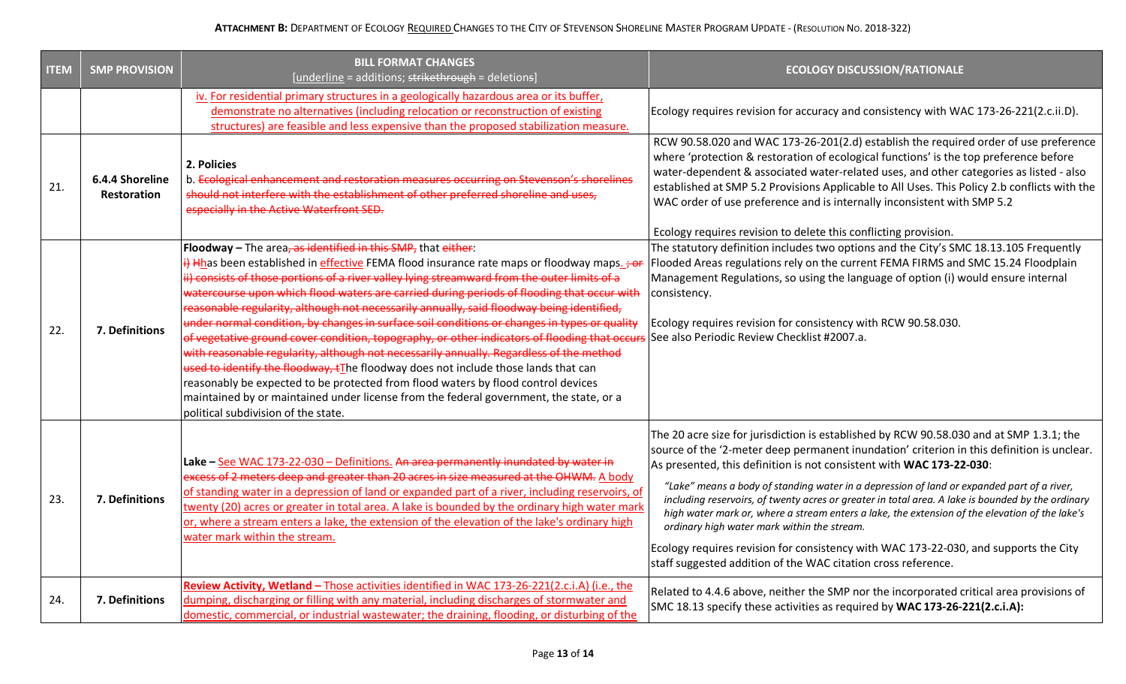| <b>ITEM</b> | <b>SMP PROVISION</b>                  | <b>BILL FORMAT CHANGES</b><br>[underline = additions; strikethrough = deletions]                                                                                                                                                                                                                                                                                                                                                                                                                                                                                                                                                                                                                                                                                                                                                                                                                                                                                                                                                                               | <b>ECOLOGY DISCUSSION/RATIONALE</b>                                                                                                                                                                                                                                                                                                                                                                                                                                                                                                                                                                                                                                                                                                                                        |
|-------------|---------------------------------------|----------------------------------------------------------------------------------------------------------------------------------------------------------------------------------------------------------------------------------------------------------------------------------------------------------------------------------------------------------------------------------------------------------------------------------------------------------------------------------------------------------------------------------------------------------------------------------------------------------------------------------------------------------------------------------------------------------------------------------------------------------------------------------------------------------------------------------------------------------------------------------------------------------------------------------------------------------------------------------------------------------------------------------------------------------------|----------------------------------------------------------------------------------------------------------------------------------------------------------------------------------------------------------------------------------------------------------------------------------------------------------------------------------------------------------------------------------------------------------------------------------------------------------------------------------------------------------------------------------------------------------------------------------------------------------------------------------------------------------------------------------------------------------------------------------------------------------------------------|
|             |                                       | iv. For residential primary structures in a geologically hazardous area or its buffer,<br>demonstrate no alternatives (including relocation or reconstruction of existing<br>structures) are feasible and less expensive than the proposed stabilization measure.                                                                                                                                                                                                                                                                                                                                                                                                                                                                                                                                                                                                                                                                                                                                                                                              | Ecology requires revision for accuracy and consistency with WAC 173-26-221(2.c.ii.D).                                                                                                                                                                                                                                                                                                                                                                                                                                                                                                                                                                                                                                                                                      |
| 21.         | 6.4.4 Shoreline<br><b>Restoration</b> | 2. Policies<br>b. Ecological enhancement and restoration measures occurring on Stevenson's shorelines<br>should not interfere with the establishment of other preferred shoreline and uses.<br>especially in the Active Waterfront SED.                                                                                                                                                                                                                                                                                                                                                                                                                                                                                                                                                                                                                                                                                                                                                                                                                        | RCW 90.58.020 and WAC 173-26-201(2.d) establish the required order of use preference<br>where 'protection & restoration of ecological functions' is the top preference before<br>water-dependent & associated water-related uses, and other categories as listed - also<br>established at SMP 5.2 Provisions Applicable to All Uses. This Policy 2.b conflicts with the<br>WAC order of use preference and is internally inconsistent with SMP 5.2<br>Ecology requires revision to delete this conflicting provision.                                                                                                                                                                                                                                                      |
| 22.         | 7. Definitions                        | Floodway - The area, as identified in this SMP, that either:<br>i) Hhas been established in effective FEMA flood insurance rate maps or floodway maps. $\div$<br>ii) consists of those portions of a river valley lying streamward from the outer limits of a<br>watercourse upon which flood waters are carried during periods of flooding that occur with<br>reasonable regularity, although not necessarily annually, said floodway being identified,<br>under normal condition, by changes in surface soil conditions or changes in types or quality<br>of vegetative ground cover condition, topography, or other indicators of flooding that occu<br>with reasonable regularity, although not necessarily annually. Regardless of the method<br>used to identify the floodway, tThe floodway does not include those lands that can<br>reasonably be expected to be protected from flood waters by flood control devices<br>maintained by or maintained under license from the federal government, the state, or a<br>political subdivision of the state. | The statutory definition includes two options and the City's SMC 18.13.105 Frequently<br>Flooded Areas regulations rely on the current FEMA FIRMS and SMC 15.24 Floodplain<br>Management Regulations, so using the language of option (i) would ensure internal<br>consistency.<br>Ecology requires revision for consistency with RCW 90.58.030.<br>See also Periodic Review Checklist #2007.a.                                                                                                                                                                                                                                                                                                                                                                            |
| 23.         | 7. Definitions                        | Lake - See WAC 173-22-030 - Definitions. An area permanently inundated by water in<br>excess of 2 meters deep and greater than 20 acres in size measured at the OHWM. A body<br>of standing water in a depression of land or expanded part of a river, including reservoirs, of<br>twenty (20) acres or greater in total area. A lake is bounded by the ordinary high water mark<br>or, where a stream enters a lake, the extension of the elevation of the lake's ordinary high<br>water mark within the stream.                                                                                                                                                                                                                                                                                                                                                                                                                                                                                                                                              | The 20 acre size for jurisdiction is established by RCW 90.58.030 and at SMP 1.3.1; the<br>source of the '2-meter deep permanent inundation' criterion in this definition is unclear.<br>As presented, this definition is not consistent with WAC 173-22-030:<br>"Lake" means a body of standing water in a depression of land or expanded part of a river,<br>including reservoirs, of twenty acres or greater in total area. A lake is bounded by the ordinary<br>high water mark or, where a stream enters a lake, the extension of the elevation of the lake's<br>ordinary high water mark within the stream.<br>Ecology requires revision for consistency with WAC 173-22-030, and supports the City<br>staff suggested addition of the WAC citation cross reference. |
| 24.         | 7. Definitions                        | Review Activity, Wetland - Those activities identified in WAC 173-26-221(2.c.i.A) (i.e., the<br>dumping, discharging or filling with any material, including discharges of stormwater and<br>domestic, commercial, or industrial wastewater; the draining, flooding, or disturbing of the                                                                                                                                                                                                                                                                                                                                                                                                                                                                                                                                                                                                                                                                                                                                                                      | Related to 4.4.6 above, neither the SMP nor the incorporated critical area provisions of<br>SMC 18.13 specify these activities as required by WAC 173-26-221(2.c.i.A):                                                                                                                                                                                                                                                                                                                                                                                                                                                                                                                                                                                                     |